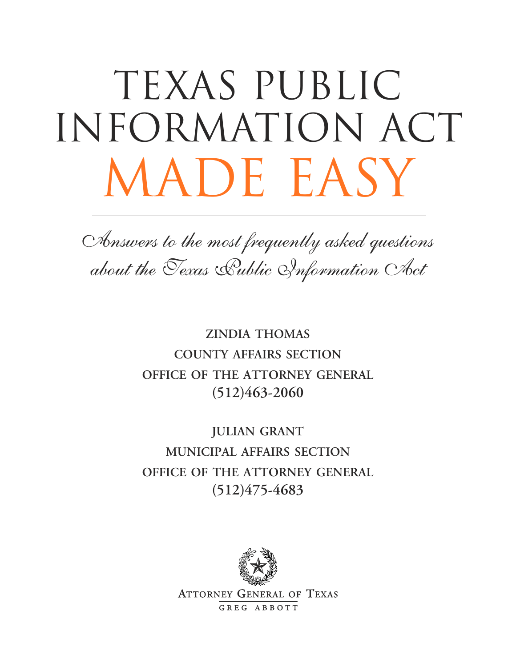# TEXAS PUBLIC information act MADE EASY

Answers to the most frequently asked questions about the Texas Aublic Information Act

> **ZINDIA THOMAS COUNTY AFFAIRS SECTION OFFICE OF THE ATTORNEY GENERAL (512)463-2060**

> **JULIAN GRANT MUNICIPAL AFFAIRS SECTION OFFICE OF THE ATTORNEY GENERAL (512)475-4683**



**ATTORNEY GENERAL OF TEXAS** GREG ABBOTT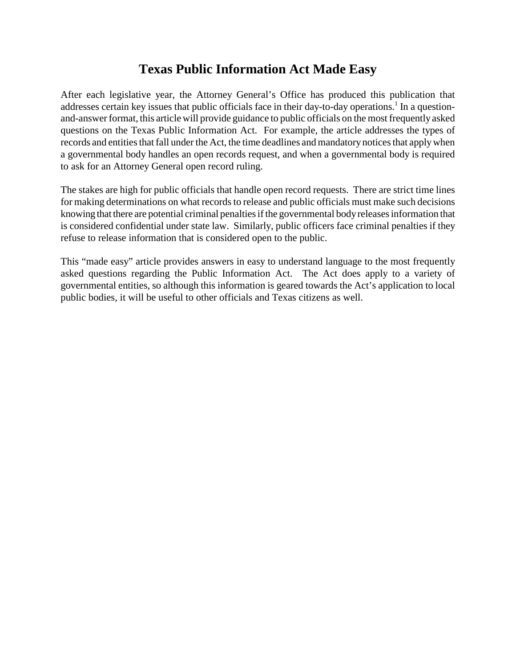# **Texas Public Information Act Made Easy**

After each legislative year, the Attorney General's Office has produced this publication that addresses certain key issues that public officials face in their day-to-day operations.<sup>1</sup> In a questionand-answer format, this article will provide guidance to public officials on the most frequently asked questions on the Texas Public Information Act. For example, the article addresses the types of records and entities that fall under the Act, the time deadlines and mandatory notices that apply when a governmental body handles an open records request, and when a governmental body is required to ask for an Attorney General open record ruling.

The stakes are high for public officials that handle open record requests. There are strict time lines for making determinations on what records to release and public officials must make such decisions knowing that there are potential criminal penalties if the governmental body releases information that is considered confidential under state law. Similarly, public officers face criminal penalties if they refuse to release information that is considered open to the public.

This "made easy" article provides answers in easy to understand language to the most frequently asked questions regarding the Public Information Act. The Act does apply to a variety of governmental entities, so although this information is geared towards the Act's application to local public bodies, it will be useful to other officials and Texas citizens as well.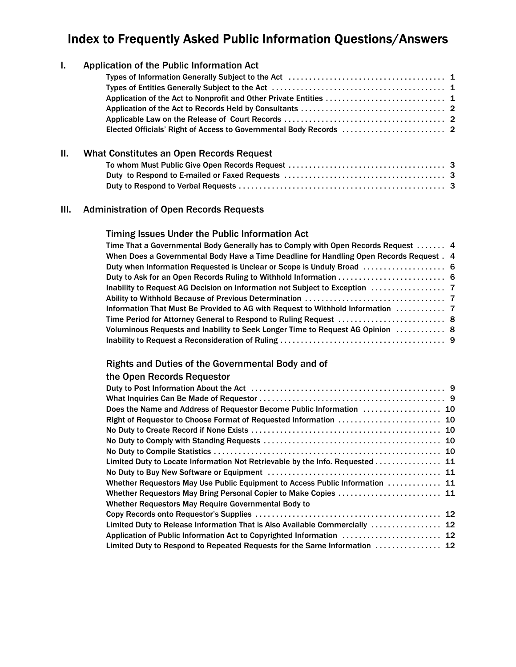# Index to Frequently Asked Public Information Questions/Answers

| Ι.      | Application of the Public Information Act                         |
|---------|-------------------------------------------------------------------|
|         |                                                                   |
|         |                                                                   |
|         | Application of the Act to Nonprofit and Other Private Entities  1 |
|         |                                                                   |
|         |                                                                   |
|         |                                                                   |
| $\Pi$ . | What Constitutes an Open Records Request                          |
|         |                                                                   |
|         |                                                                   |
|         |                                                                   |
|         |                                                                   |

#### III. Administration of Open Records Requests

#### Timing Issues Under the Public Information Act

| Time That a Governmental Body Generally has to Comply with Open Records Request  4       |  |
|------------------------------------------------------------------------------------------|--|
| When Does a Governmental Body Have a Time Deadline for Handling Open Records Request . 4 |  |
|                                                                                          |  |
|                                                                                          |  |
|                                                                                          |  |
|                                                                                          |  |
| Information That Must Be Provided to AG with Request to Withhold Information  7          |  |
|                                                                                          |  |
| Voluminous Requests and Inability to Seek Longer Time to Request AG Opinion  8           |  |
|                                                                                          |  |

## Rights and Duties of the Governmental Body and of

#### the Open Records Requestor

| Does the Name and Address of Requestor Become Public Information  10         |
|------------------------------------------------------------------------------|
|                                                                              |
|                                                                              |
|                                                                              |
|                                                                              |
| Limited Duty to Locate Information Not Retrievable by the Info. Requested 11 |
|                                                                              |
| Whether Requestors May Use Public Equipment to Access Public Information  11 |
| Whether Requestors May Bring Personal Copier to Make Copies  11              |
|                                                                              |
|                                                                              |
| Limited Duty to Release Information That is Also Available Commercially  12  |
| Application of Public Information Act to Copyrighted Information  12         |
|                                                                              |
|                                                                              |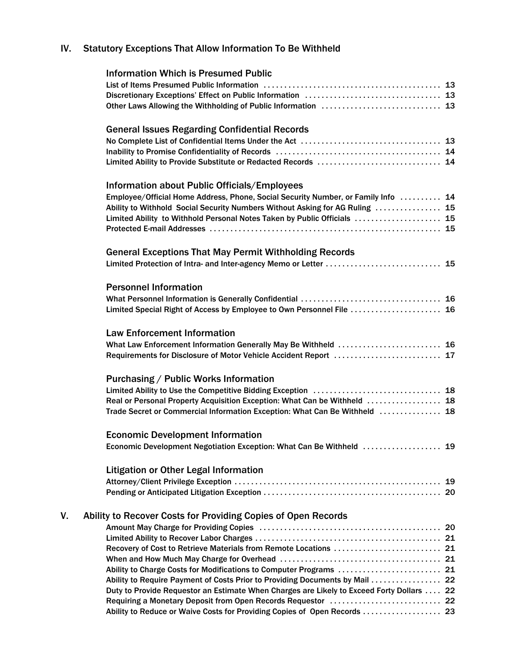# IV. Statutory Exceptions That Allow Information To Be Withheld

|    | <b>Information Which is Presumed Public</b>                                               |
|----|-------------------------------------------------------------------------------------------|
|    |                                                                                           |
|    |                                                                                           |
|    |                                                                                           |
|    | <b>General Issues Regarding Confidential Records</b>                                      |
|    |                                                                                           |
|    |                                                                                           |
|    | Limited Ability to Provide Substitute or Redacted Records  14                             |
|    | Information about Public Officials/Employees                                              |
|    | Employee/Official Home Address, Phone, Social Security Number, or Family Info  14         |
|    | Ability to Withhold Social Security Numbers Without Asking for AG Ruling  15              |
|    | Limited Ability to Withhold Personal Notes Taken by Public Officials  15                  |
|    |                                                                                           |
|    | <b>General Exceptions That May Permit Withholding Records</b>                             |
|    |                                                                                           |
|    |                                                                                           |
|    | <b>Personnel Information</b>                                                              |
|    |                                                                                           |
|    | Limited Special Right of Access by Employee to Own Personnel File  16                     |
|    | <b>Law Enforcement Information</b>                                                        |
|    | What Law Enforcement Information Generally May Be Withheld  16                            |
|    | Requirements for Disclosure of Motor Vehicle Accident Report  17                          |
|    | Purchasing / Public Works Information                                                     |
|    |                                                                                           |
|    | Real or Personal Property Acquisition Exception: What Can be Withheld  18                 |
|    | Trade Secret or Commercial Information Exception: What Can Be Withheld  18                |
|    | <b>Economic Development Information</b>                                                   |
|    | Economic Development Negotiation Exception: What Can Be Withheld  19                      |
|    |                                                                                           |
|    | <b>Litigation or Other Legal Information</b>                                              |
|    | 19                                                                                        |
|    |                                                                                           |
| V. | Ability to Recover Costs for Providing Copies of Open Records                             |
|    |                                                                                           |
|    |                                                                                           |
|    | Recovery of Cost to Retrieve Materials from Remote Locations  21                          |
|    |                                                                                           |
|    |                                                                                           |
|    | Ability to Require Payment of Costs Prior to Providing Documents by Mail  22              |
|    | Duty to Provide Requestor an Estimate When Charges are Likely to Exceed Forty Dollars  22 |
|    |                                                                                           |
|    | Ability to Reduce or Waive Costs for Providing Copies of Open Records  23                 |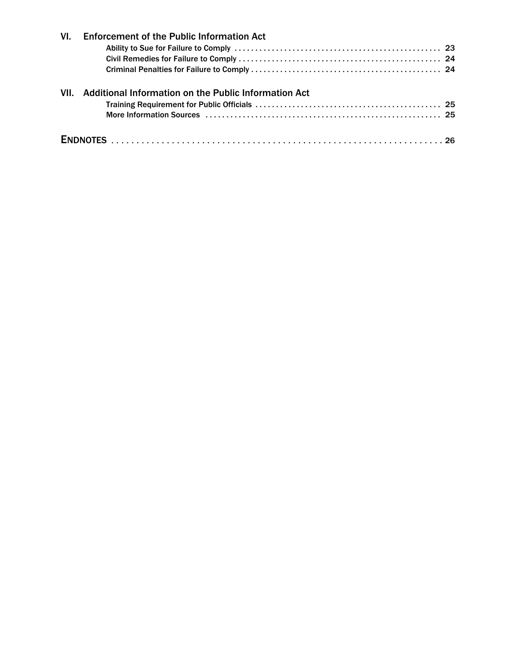| VI.  | <b>Enforcement of the Public Information Act</b>     |  |
|------|------------------------------------------------------|--|
|      |                                                      |  |
| VII. | Additional Information on the Public Information Act |  |
|      |                                                      |  |
|      |                                                      |  |
|      |                                                      |  |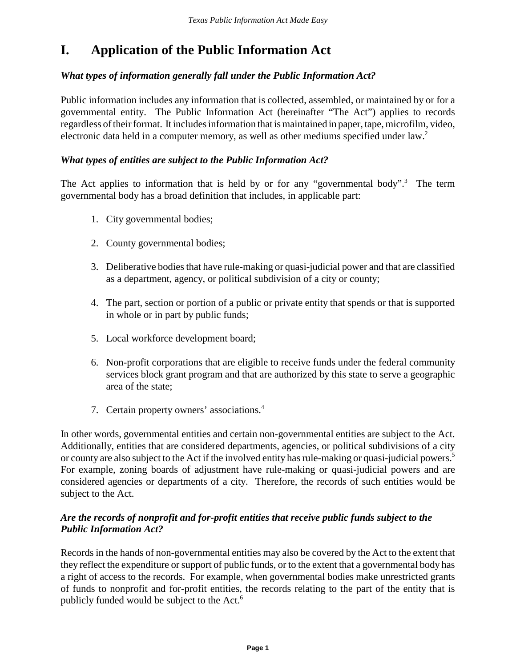# **I. Application of the Public Information Act**

#### *What types of information generally fall under the Public Information Act?*

Public information includes any information that is collected, assembled, or maintained by or for a governmental entity. The Public Information Act (hereinafter "The Act") applies to records regardless of their format. It includes information that is maintained in paper, tape, microfilm, video, electronic data held in a computer memory, as well as other mediums specified under law.<sup>2</sup>

#### *What types of entities are subject to the Public Information Act?*

The Act applies to information that is held by or for any "governmental body".<sup>3</sup> The term governmental body has a broad definition that includes, in applicable part:

- 1. City governmental bodies;
- 2. County governmental bodies;
- 3. Deliberative bodies that have rule-making or quasi-judicial power and that are classified as a department, agency, or political subdivision of a city or county;
- 4. The part, section or portion of a public or private entity that spends or that is supported in whole or in part by public funds;
- 5. Local workforce development board;
- 6. Non-profit corporations that are eligible to receive funds under the federal community services block grant program and that are authorized by this state to serve a geographic area of the state;
- 7. Certain property owners' associations.4

In other words, governmental entities and certain non-governmental entities are subject to the Act. Additionally, entities that are considered departments, agencies, or political subdivisions of a city or county are also subject to the Act if the involved entity has rule-making or quasi-judicial powers.5 For example, zoning boards of adjustment have rule-making or quasi-judicial powers and are considered agencies or departments of a city. Therefore, the records of such entities would be subject to the Act.

#### *Are the records of nonprofit and for-profit entities that receive public funds subject to the Public Information Act?*

Records in the hands of non-governmental entities may also be covered by the Act to the extent that they reflect the expenditure or support of public funds, or to the extent that a governmental body has a right of access to the records. For example, when governmental bodies make unrestricted grants of funds to nonprofit and for-profit entities, the records relating to the part of the entity that is publicly funded would be subject to the Act.<sup>6</sup>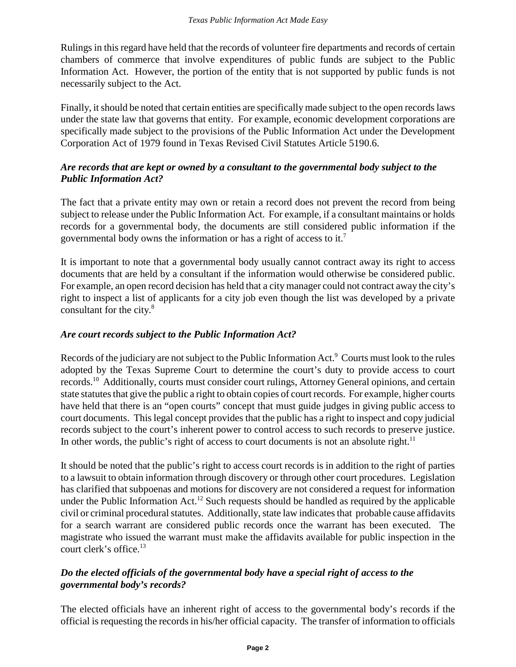Rulings in this regard have held that the records of volunteer fire departments and records of certain chambers of commerce that involve expenditures of public funds are subject to the Public Information Act. However, the portion of the entity that is not supported by public funds is not necessarily subject to the Act.

Finally, it should be noted that certain entities are specifically made subject to the open records laws under the state law that governs that entity. For example, economic development corporations are specifically made subject to the provisions of the Public Information Act under the Development Corporation Act of 1979 found in Texas Revised Civil Statutes Article 5190.6.

#### *Are records that are kept or owned by a consultant to the governmental body subject to the Public Information Act?*

The fact that a private entity may own or retain a record does not prevent the record from being subject to release under the Public Information Act. For example, if a consultant maintains or holds records for a governmental body, the documents are still considered public information if the governmental body owns the information or has a right of access to it.7

It is important to note that a governmental body usually cannot contract away its right to access documents that are held by a consultant if the information would otherwise be considered public. For example, an open record decision has held that a city manager could not contract away the city's right to inspect a list of applicants for a city job even though the list was developed by a private consultant for the city.<sup>8</sup>

#### *Are court records subject to the Public Information Act?*

Records of the judiciary are not subject to the Public Information Act.<sup>9</sup> Courts must look to the rules adopted by the Texas Supreme Court to determine the court's duty to provide access to court records.10 Additionally, courts must consider court rulings, Attorney General opinions, and certain state statutes that give the public a right to obtain copies of court records. For example, higher courts have held that there is an "open courts" concept that must guide judges in giving public access to court documents. This legal concept provides that the public has a right to inspect and copy judicial records subject to the court's inherent power to control access to such records to preserve justice. In other words, the public's right of access to court documents is not an absolute right.<sup>11</sup>

It should be noted that the public's right to access court records is in addition to the right of parties to a lawsuit to obtain information through discovery or through other court procedures. Legislation has clarified that subpoenas and motions for discovery are not considered a request for information under the Public Information  $Act.12$  Such requests should be handled as required by the applicable civil or criminal procedural statutes. Additionally, state law indicates that probable cause affidavits for a search warrant are considered public records once the warrant has been executed. The magistrate who issued the warrant must make the affidavits available for public inspection in the court clerk's office.<sup>13</sup>

#### *Do the elected officials of the governmental body have a special right of access to the governmental body's records?*

The elected officials have an inherent right of access to the governmental body's records if the official is requesting the records in his/her official capacity. The transfer of information to officials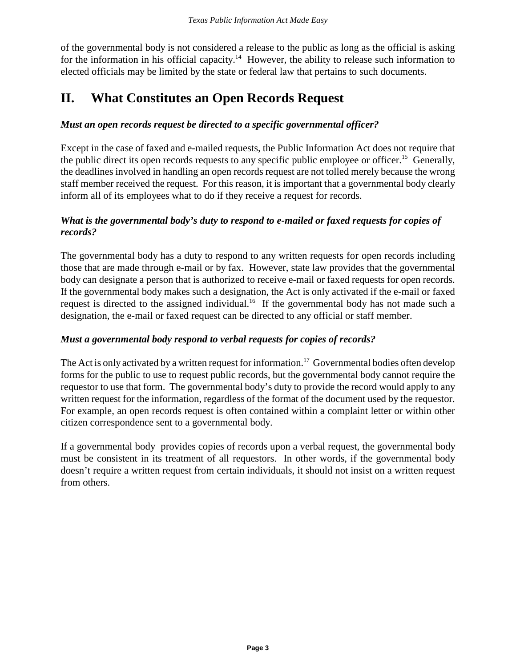of the governmental body is not considered a release to the public as long as the official is asking for the information in his official capacity.<sup>14</sup> However, the ability to release such information to elected officials may be limited by the state or federal law that pertains to such documents.

# **II. What Constitutes an Open Records Request**

#### *Must an open records request be directed to a specific governmental officer?*

Except in the case of faxed and e-mailed requests, the Public Information Act does not require that the public direct its open records requests to any specific public employee or officer.<sup>15</sup> Generally, the deadlines involved in handling an open records request are not tolled merely because the wrong staff member received the request. For this reason, it is important that a governmental body clearly inform all of its employees what to do if they receive a request for records.

#### *What is the governmental body's duty to respond to e-mailed or faxed requests for copies of records?*

The governmental body has a duty to respond to any written requests for open records including those that are made through e-mail or by fax. However, state law provides that the governmental body can designate a person that is authorized to receive e-mail or faxed requests for open records. If the governmental body makes such a designation, the Act is only activated if the e-mail or faxed request is directed to the assigned individual.<sup>16</sup> If the governmental body has not made such a designation, the e-mail or faxed request can be directed to any official or staff member.

#### *Must a governmental body respond to verbal requests for copies of records?*

The Act is only activated by a written request for information.<sup>17</sup> Governmental bodies often develop forms for the public to use to request public records, but the governmental body cannot require the requestor to use that form. The governmental body's duty to provide the record would apply to any written request for the information, regardless of the format of the document used by the requestor. For example, an open records request is often contained within a complaint letter or within other citizen correspondence sent to a governmental body.

If a governmental body provides copies of records upon a verbal request, the governmental body must be consistent in its treatment of all requestors. In other words, if the governmental body doesn't require a written request from certain individuals, it should not insist on a written request from others.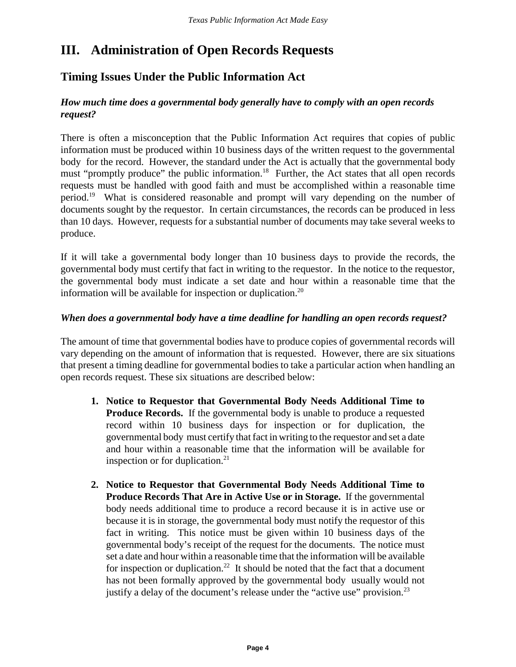# **III. Administration of Open Records Requests**

## **Timing Issues Under the Public Information Act**

#### *How much time does a governmental body generally have to comply with an open records request?*

There is often a misconception that the Public Information Act requires that copies of public information must be produced within 10 business days of the written request to the governmental body for the record. However, the standard under the Act is actually that the governmental body must "promptly produce" the public information.<sup>18</sup> Further, the Act states that all open records requests must be handled with good faith and must be accomplished within a reasonable time period.19 What is considered reasonable and prompt will vary depending on the number of documents sought by the requestor. In certain circumstances, the records can be produced in less than 10 days. However, requests for a substantial number of documents may take several weeks to produce.

If it will take a governmental body longer than 10 business days to provide the records, the governmental body must certify that fact in writing to the requestor. In the notice to the requestor, the governmental body must indicate a set date and hour within a reasonable time that the information will be available for inspection or duplication.<sup>20</sup>

#### *When does a governmental body have a time deadline for handling an open records request?*

The amount of time that governmental bodies have to produce copies of governmental records will vary depending on the amount of information that is requested. However, there are six situations that present a timing deadline for governmental bodies to take a particular action when handling an open records request. These six situations are described below:

- **1. Notice to Requestor that Governmental Body Needs Additional Time to Produce Records.** If the governmental body is unable to produce a requested record within 10 business days for inspection or for duplication, the governmental body must certify that fact in writing to the requestor and set a date and hour within a reasonable time that the information will be available for inspection or for duplication. $21$
- **2. Notice to Requestor that Governmental Body Needs Additional Time to Produce Records That Are in Active Use or in Storage.** If the governmental body needs additional time to produce a record because it is in active use or because it is in storage, the governmental body must notify the requestor of this fact in writing. This notice must be given within 10 business days of the governmental body's receipt of the request for the documents. The notice must set a date and hour within a reasonable time that the information will be available for inspection or duplication.<sup>22</sup> It should be noted that the fact that a document has not been formally approved by the governmental body usually would not justify a delay of the document's release under the "active use" provision.<sup>23</sup>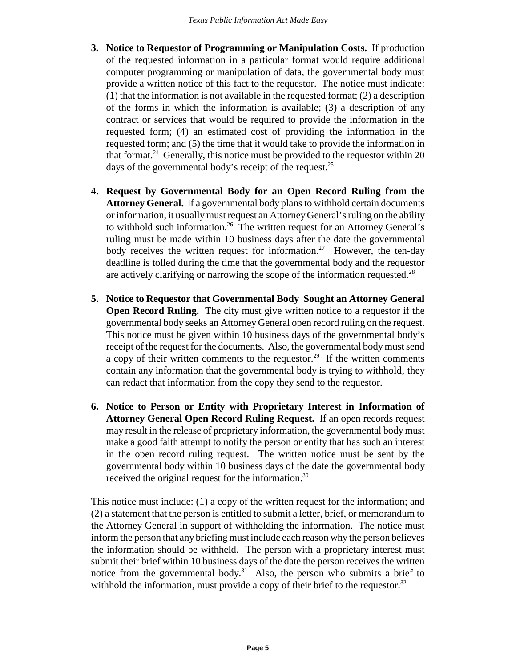- **3. Notice to Requestor of Programming or Manipulation Costs.** If production of the requested information in a particular format would require additional computer programming or manipulation of data, the governmental body must provide a written notice of this fact to the requestor. The notice must indicate: (1) that the information is not available in the requested format; (2) a description of the forms in which the information is available; (3) a description of any contract or services that would be required to provide the information in the requested form; (4) an estimated cost of providing the information in the requested form; and (5) the time that it would take to provide the information in that format.<sup>24</sup> Generally, this notice must be provided to the requestor within 20 days of the governmental body's receipt of the request.<sup>25</sup>
- **4. Request by Governmental Body for an Open Record Ruling from the Attorney General.** If a governmental body plans to withhold certain documents or information, it usually must request an Attorney General's ruling on the ability to withhold such information.<sup>26</sup> The written request for an Attorney General's ruling must be made within 10 business days after the date the governmental body receives the written request for information.<sup>27</sup> However, the ten-day deadline is tolled during the time that the governmental body and the requestor are actively clarifying or narrowing the scope of the information requested.<sup>28</sup>
- **5. Notice to Requestor that Governmental Body Sought an Attorney General Open Record Ruling.** The city must give written notice to a requestor if the governmental body seeks an Attorney General open record ruling on the request. This notice must be given within 10 business days of the governmental body's receipt of the request for the documents. Also, the governmental body must send a copy of their written comments to the requestor.<sup>29</sup> If the written comments contain any information that the governmental body is trying to withhold, they can redact that information from the copy they send to the requestor.
- **6. Notice to Person or Entity with Proprietary Interest in Information of Attorney General Open Record Ruling Request.** If an open records request may result in the release of proprietary information, the governmental body must make a good faith attempt to notify the person or entity that has such an interest in the open record ruling request. The written notice must be sent by the governmental body within 10 business days of the date the governmental body received the original request for the information.<sup>30</sup>

This notice must include: (1) a copy of the written request for the information; and (2) a statement that the person is entitled to submit a letter, brief, or memorandum to the Attorney General in support of withholding the information. The notice must inform the person that any briefing must include each reason why the person believes the information should be withheld. The person with a proprietary interest must submit their brief within 10 business days of the date the person receives the written notice from the governmental body.<sup>31</sup> Also, the person who submits a brief to withhold the information, must provide a copy of their brief to the requestor.<sup>32</sup>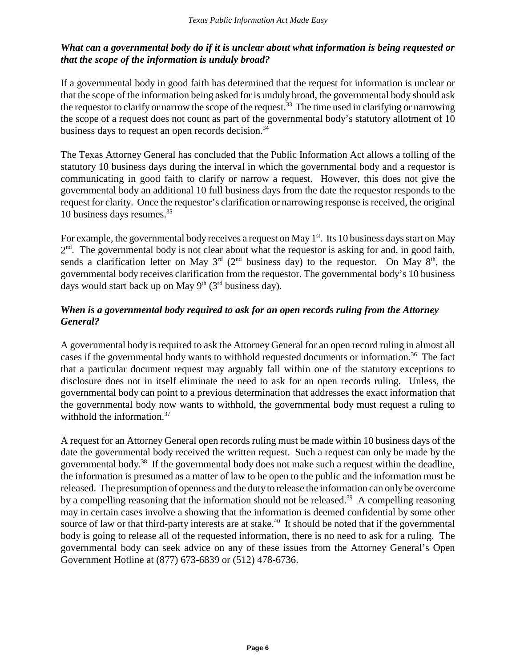#### *What can a governmental body do if it is unclear about what information is being requested or that the scope of the information is unduly broad?*

If a governmental body in good faith has determined that the request for information is unclear or that the scope of the information being asked for is unduly broad, the governmental body should ask the requestor to clarify or narrow the scope of the request.<sup>33</sup> The time used in clarifying or narrowing the scope of a request does not count as part of the governmental body's statutory allotment of 10 business days to request an open records decision.<sup>34</sup>

The Texas Attorney General has concluded that the Public Information Act allows a tolling of the statutory 10 business days during the interval in which the governmental body and a requestor is communicating in good faith to clarify or narrow a request. However, this does not give the governmental body an additional 10 full business days from the date the requestor responds to the request for clarity. Once the requestor's clarification or narrowing response is received, the original 10 business days resumes.35

For example, the governmental body receives a request on May  $1<sup>st</sup>$ . Its 10 business days start on May  $2<sup>nd</sup>$ . The governmental body is not clear about what the requestor is asking for and, in good faith, sends a clarification letter on May  $3<sup>rd</sup>$  (2<sup>nd</sup> business day) to the requestor. On May  $8<sup>th</sup>$ , the governmental body receives clarification from the requestor. The governmental body's 10 business days would start back up on May  $9<sup>th</sup>$  (3<sup>rd</sup> business day).

#### *When is a governmental body required to ask for an open records ruling from the Attorney General?*

A governmental body is required to ask the Attorney General for an open record ruling in almost all cases if the governmental body wants to withhold requested documents or information.<sup>36</sup> The fact that a particular document request may arguably fall within one of the statutory exceptions to disclosure does not in itself eliminate the need to ask for an open records ruling. Unless, the governmental body can point to a previous determination that addresses the exact information that the governmental body now wants to withhold, the governmental body must request a ruling to withhold the information.<sup>37</sup>

A request for an Attorney General open records ruling must be made within 10 business days of the date the governmental body received the written request. Such a request can only be made by the governmental body.38 If the governmental body does not make such a request within the deadline, the information is presumed as a matter of law to be open to the public and the information must be released. The presumption of openness and the duty to release the information can only be overcome by a compelling reasoning that the information should not be released.<sup>39</sup> A compelling reasoning may in certain cases involve a showing that the information is deemed confidential by some other source of law or that third-party interests are at stake.<sup>40</sup> It should be noted that if the governmental body is going to release all of the requested information, there is no need to ask for a ruling. The governmental body can seek advice on any of these issues from the Attorney General's Open Government Hotline at (877) 673-6839 or (512) 478-6736.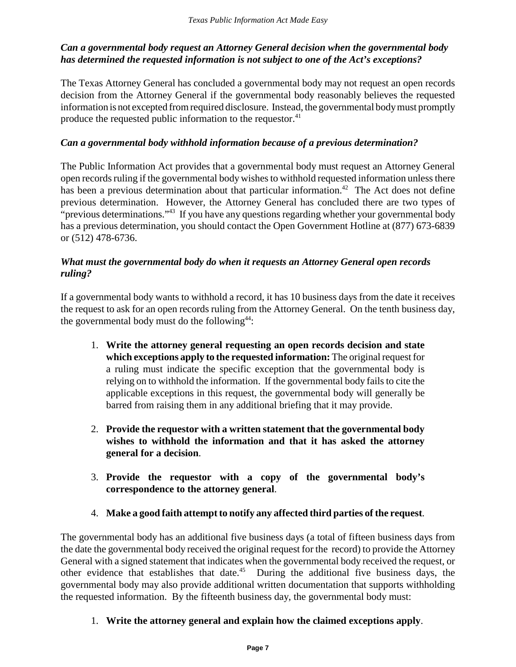#### *Can a governmental body request an Attorney General decision when the governmental body has determined the requested information is not subject to one of the Act's exceptions?*

The Texas Attorney General has concluded a governmental body may not request an open records decision from the Attorney General if the governmental body reasonably believes the requested information is not excepted from required disclosure. Instead, the governmental body must promptly produce the requested public information to the requestor.<sup>41</sup>

#### *Can a governmental body withhold information because of a previous determination?*

The Public Information Act provides that a governmental body must request an Attorney General open records ruling if the governmental body wishes to withhold requested information unless there has been a previous determination about that particular information.<sup>42</sup> The Act does not define previous determination. However, the Attorney General has concluded there are two types of "previous determinations."<sup>43</sup> If you have any questions regarding whether your governmental body has a previous determination, you should contact the Open Government Hotline at (877) 673-6839 or (512) 478-6736.

#### *What must the governmental body do when it requests an Attorney General open records ruling?*

If a governmental body wants to withhold a record, it has 10 business days from the date it receives the request to ask for an open records ruling from the Attorney General. On the tenth business day, the governmental body must do the following $44$ :

- 1. **Write the attorney general requesting an open records decision and state which exceptions apply to the requested information:** The original request for a ruling must indicate the specific exception that the governmental body is relying on to withhold the information. If the governmental body fails to cite the applicable exceptions in this request, the governmental body will generally be barred from raising them in any additional briefing that it may provide.
- 2. **Provide the requestor with a written statement that the governmental body wishes to withhold the information and that it has asked the attorney general for a decision**.
- 3. **Provide the requestor with a copy of the governmental body's correspondence to the attorney general**.
- 4. **Make a good faith attempt to notify any affected third parties of the request**.

The governmental body has an additional five business days (a total of fifteen business days from the date the governmental body received the original request for the record) to provide the Attorney General with a signed statement that indicates when the governmental body received the request, or other evidence that establishes that date.45 During the additional five business days, the governmental body may also provide additional written documentation that supports withholding the requested information. By the fifteenth business day, the governmental body must:

1. **Write the attorney general and explain how the claimed exceptions apply**.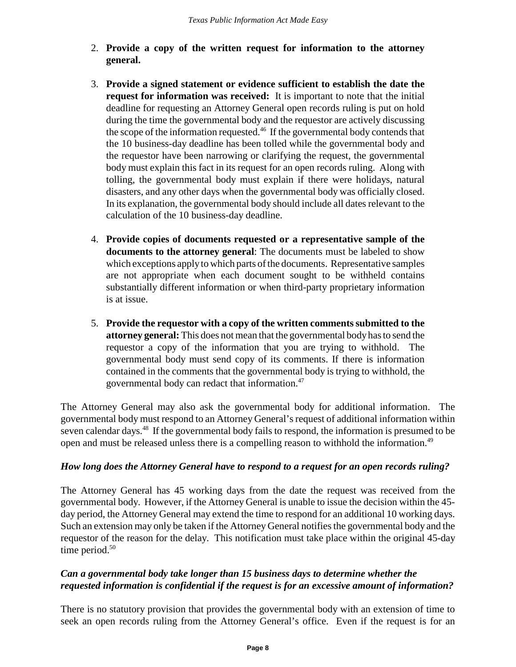- 2. **Provide a copy of the written request for information to the attorney general.**
- 3. **Provide a signed statement or evidence sufficient to establish the date the request for information was received:** It is important to note that the initial deadline for requesting an Attorney General open records ruling is put on hold during the time the governmental body and the requestor are actively discussing the scope of the information requested.<sup>46</sup> If the governmental body contends that the 10 business-day deadline has been tolled while the governmental body and the requestor have been narrowing or clarifying the request, the governmental body must explain this fact in its request for an open records ruling. Along with tolling, the governmental body must explain if there were holidays, natural disasters, and any other days when the governmental body was officially closed. In its explanation, the governmental body should include all dates relevant to the calculation of the 10 business-day deadline.
- 4. **Provide copies of documents requested or a representative sample of the documents to the attorney general**: The documents must be labeled to show which exceptions apply to which parts of the documents. Representative samples are not appropriate when each document sought to be withheld contains substantially different information or when third-party proprietary information is at issue.
- 5. **Provide the requestor with a copy of the written comments submitted to the attorney general:** This does not mean that the governmental body has to send the requestor a copy of the information that you are trying to withhold. The governmental body must send copy of its comments. If there is information contained in the comments that the governmental body is trying to withhold, the governmental body can redact that information.47

The Attorney General may also ask the governmental body for additional information. The governmental body must respond to an Attorney General's request of additional information within seven calendar days.<sup>48</sup> If the governmental body fails to respond, the information is presumed to be open and must be released unless there is a compelling reason to withhold the information.49

#### *How long does the Attorney General have to respond to a request for an open records ruling?*

The Attorney General has 45 working days from the date the request was received from the governmental body. However, if the Attorney General is unable to issue the decision within the 45 day period, the Attorney General may extend the time to respond for an additional 10 working days. Such an extension may only be taken if the Attorney General notifies the governmental body and the requestor of the reason for the delay. This notification must take place within the original 45-day time period. $50$ 

#### *Can a governmental body take longer than 15 business days to determine whether the requested information is confidential if the request is for an excessive amount of information?*

There is no statutory provision that provides the governmental body with an extension of time to seek an open records ruling from the Attorney General's office. Even if the request is for an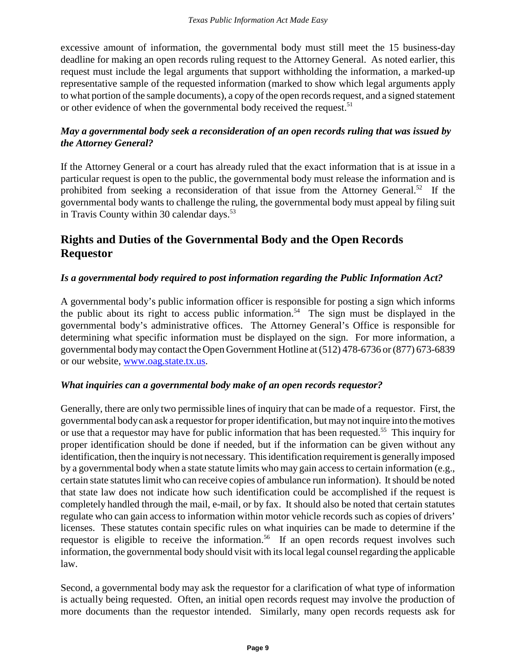excessive amount of information, the governmental body must still meet the 15 business-day deadline for making an open records ruling request to the Attorney General. As noted earlier, this request must include the legal arguments that support withholding the information, a marked-up representative sample of the requested information (marked to show which legal arguments apply to what portion of the sample documents), a copy of the open records request, and a signed statement or other evidence of when the governmental body received the request.<sup>51</sup>

#### *May a governmental body seek a reconsideration of an open records ruling that was issued by the Attorney General?*

If the Attorney General or a court has already ruled that the exact information that is at issue in a particular request is open to the public, the governmental body must release the information and is prohibited from seeking a reconsideration of that issue from the Attorney General.<sup>52</sup> If the governmental body wants to challenge the ruling, the governmental body must appeal by filing suit in Travis County within 30 calendar days. $53$ 

# **Rights and Duties of the Governmental Body and the Open Records Requestor**

#### *Is a governmental body required to post information regarding the Public Information Act?*

A governmental body's public information officer is responsible for posting a sign which informs the public about its right to access public information.54 The sign must be displayed in the governmental body's administrative offices. The Attorney General's Office is responsible for determining what specific information must be displayed on the sign. For more information, a governmental body may contact the Open Government Hotline at (512) 478-6736 or (877) 673-6839 or our website, www.oag.state.tx.us.

#### *What inquiries can a governmental body make of an open records requestor?*

Generally, there are only two permissible lines of inquiry that can be made of a requestor. First, the governmental body can ask a requestor for proper identification, but may not inquire into the motives or use that a requestor may have for public information that has been requested.<sup>55</sup> This inquiry for proper identification should be done if needed, but if the information can be given without any identification, then the inquiry is not necessary. This identification requirement is generally imposed by a governmental body when a state statute limits who may gain access to certain information (e.g., certain state statutes limit who can receive copies of ambulance run information). It should be noted that state law does not indicate how such identification could be accomplished if the request is completely handled through the mail, e-mail, or by fax. It should also be noted that certain statutes regulate who can gain access to information within motor vehicle records such as copies of drivers' licenses. These statutes contain specific rules on what inquiries can be made to determine if the requestor is eligible to receive the information.<sup>56</sup> If an open records request involves such information, the governmental body should visit with its local legal counsel regarding the applicable law.

Second, a governmental body may ask the requestor for a clarification of what type of information is actually being requested. Often, an initial open records request may involve the production of more documents than the requestor intended. Similarly, many open records requests ask for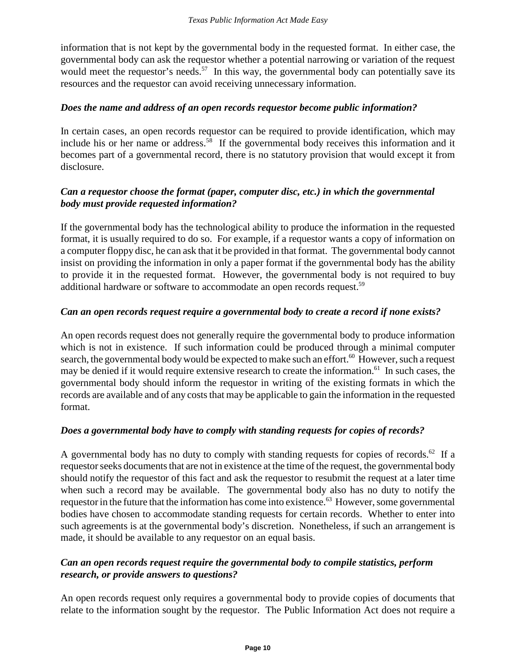information that is not kept by the governmental body in the requested format. In either case, the governmental body can ask the requestor whether a potential narrowing or variation of the request would meet the requestor's needs.<sup>57</sup> In this way, the governmental body can potentially save its resources and the requestor can avoid receiving unnecessary information.

#### *Does the name and address of an open records requestor become public information?*

In certain cases, an open records requestor can be required to provide identification, which may include his or her name or address.<sup>58</sup> If the governmental body receives this information and it becomes part of a governmental record, there is no statutory provision that would except it from disclosure.

#### *Can a requestor choose the format (paper, computer disc, etc.) in which the governmental body must provide requested information?*

If the governmental body has the technological ability to produce the information in the requested format, it is usually required to do so. For example, if a requestor wants a copy of information on a computer floppy disc, he can ask that it be provided in that format. The governmental body cannot insist on providing the information in only a paper format if the governmental body has the ability to provide it in the requested format. However, the governmental body is not required to buy additional hardware or software to accommodate an open records request.<sup>59</sup>

#### *Can an open records request require a governmental body to create a record if none exists?*

An open records request does not generally require the governmental body to produce information which is not in existence. If such information could be produced through a minimal computer search, the governmental body would be expected to make such an effort.<sup>60</sup> However, such a request may be denied if it would require extensive research to create the information.<sup>61</sup> In such cases, the governmental body should inform the requestor in writing of the existing formats in which the records are available and of any costs that may be applicable to gain the information in the requested format.

#### *Does a governmental body have to comply with standing requests for copies of records?*

A governmental body has no duty to comply with standing requests for copies of records.<sup>62</sup> If a requestor seeks documents that are not in existence at the time of the request, the governmental body should notify the requestor of this fact and ask the requestor to resubmit the request at a later time when such a record may be available. The governmental body also has no duty to notify the requestor in the future that the information has come into existence.<sup>63</sup> However, some governmental bodies have chosen to accommodate standing requests for certain records. Whether to enter into such agreements is at the governmental body's discretion. Nonetheless, if such an arrangement is made, it should be available to any requestor on an equal basis.

#### *Can an open records request require the governmental body to compile statistics, perform research, or provide answers to questions?*

An open records request only requires a governmental body to provide copies of documents that relate to the information sought by the requestor. The Public Information Act does not require a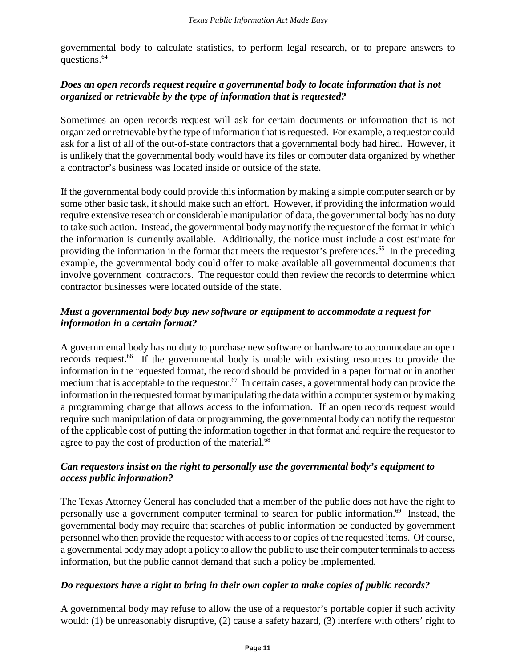governmental body to calculate statistics, to perform legal research, or to prepare answers to questions.<sup>64</sup>

#### *Does an open records request require a governmental body to locate information that is not organized or retrievable by the type of information that is requested?*

Sometimes an open records request will ask for certain documents or information that is not organized or retrievable by the type of information that is requested. For example, a requestor could ask for a list of all of the out-of-state contractors that a governmental body had hired. However, it is unlikely that the governmental body would have its files or computer data organized by whether a contractor's business was located inside or outside of the state.

If the governmental body could provide this information by making a simple computer search or by some other basic task, it should make such an effort. However, if providing the information would require extensive research or considerable manipulation of data, the governmental body has no duty to take such action. Instead, the governmental body may notify the requestor of the format in which the information is currently available. Additionally, the notice must include a cost estimate for providing the information in the format that meets the requestor's preferences.<sup>65</sup> In the preceding example, the governmental body could offer to make available all governmental documents that involve government contractors. The requestor could then review the records to determine which contractor businesses were located outside of the state.

#### *Must a governmental body buy new software or equipment to accommodate a request for information in a certain format?*

A governmental body has no duty to purchase new software or hardware to accommodate an open records request.<sup>66</sup> If the governmental body is unable with existing resources to provide the information in the requested format, the record should be provided in a paper format or in another medium that is acceptable to the requestor.<sup>67</sup> In certain cases, a governmental body can provide the information in the requested format by manipulating the data within a computer system or by making a programming change that allows access to the information. If an open records request would require such manipulation of data or programming, the governmental body can notify the requestor of the applicable cost of putting the information together in that format and require the requestor to agree to pay the cost of production of the material.<sup>68</sup>

#### *Can requestors insist on the right to personally use the governmental body's equipment to access public information?*

The Texas Attorney General has concluded that a member of the public does not have the right to personally use a government computer terminal to search for public information.<sup>69</sup> Instead, the governmental body may require that searches of public information be conducted by government personnel who then provide the requestor with access to or copies of the requested items. Of course, a governmental body may adopt a policy to allow the public to use their computer terminals to access information, but the public cannot demand that such a policy be implemented.

#### *Do requestors have a right to bring in their own copier to make copies of public records?*

A governmental body may refuse to allow the use of a requestor's portable copier if such activity would: (1) be unreasonably disruptive, (2) cause a safety hazard, (3) interfere with others' right to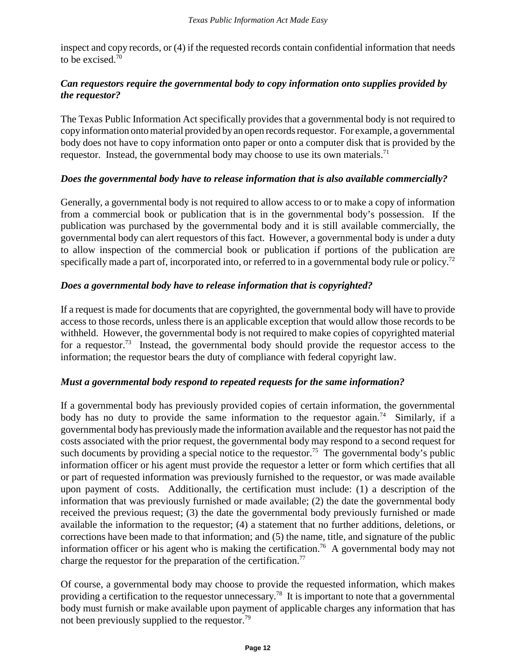inspect and copy records, or (4) if the requested records contain confidential information that needs to be excised.<sup>70</sup>

#### *Can requestors require the governmental body to copy information onto supplies provided by the requestor?*

The Texas Public Information Act specifically provides that a governmental body is not required to copy information onto material provided by an open records requestor. For example, a governmental body does not have to copy information onto paper or onto a computer disk that is provided by the requestor. Instead, the governmental body may choose to use its own materials.<sup>71</sup>

#### *Does the governmental body have to release information that is also available commercially?*

Generally, a governmental body is not required to allow access to or to make a copy of information from a commercial book or publication that is in the governmental body's possession. If the publication was purchased by the governmental body and it is still available commercially, the governmental body can alert requestors of this fact. However, a governmental body is under a duty to allow inspection of the commercial book or publication if portions of the publication are specifically made a part of, incorporated into, or referred to in a governmental body rule or policy.<sup>72</sup>

#### *Does a governmental body have to release information that is copyrighted?*

If a request is made for documents that are copyrighted, the governmental body will have to provide access to those records, unless there is an applicable exception that would allow those records to be withheld. However, the governmental body is not required to make copies of copyrighted material for a requestor.73 Instead, the governmental body should provide the requestor access to the information; the requestor bears the duty of compliance with federal copyright law.

#### *Must a governmental body respond to repeated requests for the same information?*

If a governmental body has previously provided copies of certain information, the governmental body has no duty to provide the same information to the requestor again.<sup>74</sup> Similarly, if a governmental body has previously made the information available and the requestor has not paid the costs associated with the prior request, the governmental body may respond to a second request for such documents by providing a special notice to the requestor.<sup>75</sup> The governmental body's public information officer or his agent must provide the requestor a letter or form which certifies that all or part of requested information was previously furnished to the requestor, or was made available upon payment of costs. Additionally, the certification must include: (1) a description of the information that was previously furnished or made available; (2) the date the governmental body received the previous request; (3) the date the governmental body previously furnished or made available the information to the requestor; (4) a statement that no further additions, deletions, or corrections have been made to that information; and (5) the name, title, and signature of the public information officer or his agent who is making the certification.<sup>76</sup> A governmental body may not charge the requestor for the preparation of the certification.<sup>77</sup>

Of course, a governmental body may choose to provide the requested information, which makes providing a certification to the requestor unnecessary.78 It is important to note that a governmental body must furnish or make available upon payment of applicable charges any information that has not been previously supplied to the requestor.<sup>79</sup>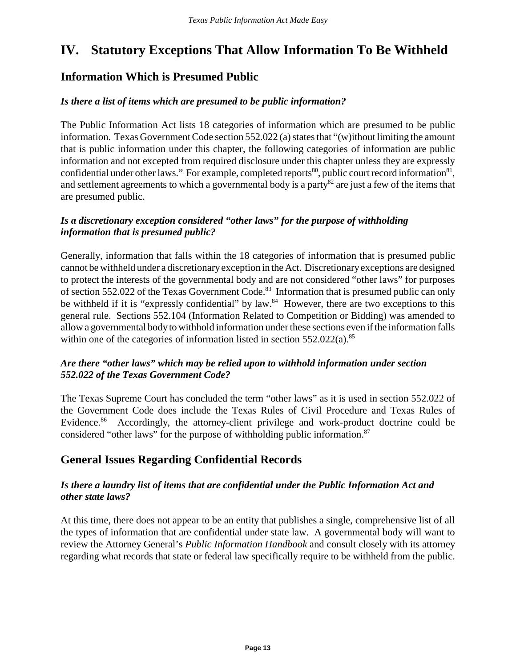# **IV. Statutory Exceptions That Allow Information To Be Withheld**

## **Information Which is Presumed Public**

#### *Is there a list of items which are presumed to be public information?*

The Public Information Act lists 18 categories of information which are presumed to be public information. Texas Government Code section 552.022 (a) states that "(w)ithout limiting the amount that is public information under this chapter, the following categories of information are public information and not excepted from required disclosure under this chapter unless they are expressly confidential under other laws." For example, completed reports<sup>80</sup>, public court record information<sup>81</sup>, and settlement agreements to which a governmental body is a party<sup>82</sup> are just a few of the items that are presumed public.

#### *Is a discretionary exception considered "other laws" for the purpose of withholding information that is presumed public?*

Generally, information that falls within the 18 categories of information that is presumed public cannot be withheld under a discretionary exception in the Act. Discretionary exceptions are designed to protect the interests of the governmental body and are not considered "other laws" for purposes of section 552.022 of the Texas Government Code.<sup>83</sup> Information that is presumed public can only be withheld if it is "expressly confidential" by law.<sup>84</sup> However, there are two exceptions to this general rule. Sections 552.104 (Information Related to Competition or Bidding) was amended to allow a governmental body to withhold information under these sections even if the information falls within one of the categories of information listed in section  $552.022(a)$ .<sup>85</sup>

#### *Are there "other laws" which may be relied upon to withhold information under section 552.022 of the Texas Government Code?*

The Texas Supreme Court has concluded the term "other laws" as it is used in section 552.022 of the Government Code does include the Texas Rules of Civil Procedure and Texas Rules of Evidence.<sup>86</sup> Accordingly, the attorney-client privilege and work-product doctrine could be considered "other laws" for the purpose of withholding public information.<sup>87</sup>

## **General Issues Regarding Confidential Records**

#### *Is there a laundry list of items that are confidential under the Public Information Act and other state laws?*

At this time, there does not appear to be an entity that publishes a single, comprehensive list of all the types of information that are confidential under state law. A governmental body will want to review the Attorney General's *Public Information Handbook* and consult closely with its attorney regarding what records that state or federal law specifically require to be withheld from the public.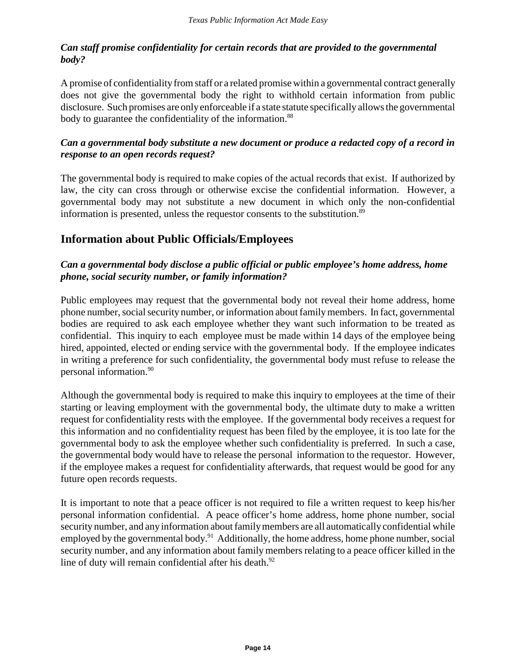#### *Can staff promise confidentiality for certain records that are provided to the governmental body?*

A promise of confidentiality from staff or a related promise within a governmental contract generally does not give the governmental body the right to withhold certain information from public disclosure. Such promises are only enforceable if a state statute specifically allows the governmental body to guarantee the confidentiality of the information.<sup>88</sup>

#### *Can a governmental body substitute a new document or produce a redacted copy of a record in response to an open records request?*

The governmental body is required to make copies of the actual records that exist. If authorized by law, the city can cross through or otherwise excise the confidential information. However, a governmental body may not substitute a new document in which only the non-confidential information is presented, unless the requestor consents to the substitution.<sup>89</sup>

# **Information about Public Officials/Employees**

#### *Can a governmental body disclose a public official or public employee's home address, home phone, social security number, or family information?*

Public employees may request that the governmental body not reveal their home address, home phone number, social security number, or information about family members. In fact, governmental bodies are required to ask each employee whether they want such information to be treated as confidential. This inquiry to each employee must be made within 14 days of the employee being hired, appointed, elected or ending service with the governmental body. If the employee indicates in writing a preference for such confidentiality, the governmental body must refuse to release the personal information.90

Although the governmental body is required to make this inquiry to employees at the time of their starting or leaving employment with the governmental body, the ultimate duty to make a written request for confidentiality rests with the employee. If the governmental body receives a request for this information and no confidentiality request has been filed by the employee, it is too late for the governmental body to ask the employee whether such confidentiality is preferred. In such a case, the governmental body would have to release the personal information to the requestor. However, if the employee makes a request for confidentiality afterwards, that request would be good for any future open records requests.

It is important to note that a peace officer is not required to file a written request to keep his/her personal information confidential. A peace officer's home address, home phone number, social security number, and any information about family members are all automatically confidential while employed by the governmental body.<sup>91</sup> Additionally, the home address, home phone number, social security number, and any information about family members relating to a peace officer killed in the line of duty will remain confidential after his death.<sup>92</sup>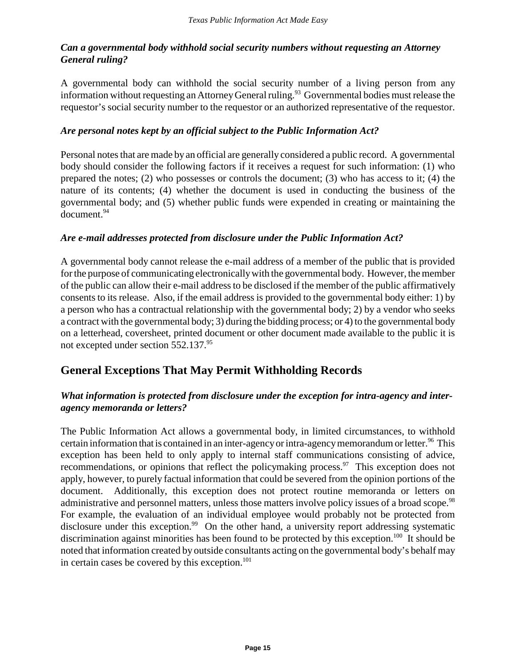#### *Can a governmental body withhold social security numbers without requesting an Attorney General ruling?*

A governmental body can withhold the social security number of a living person from any information without requesting an Attorney General ruling.<sup>93</sup> Governmental bodies must release the requestor's social security number to the requestor or an authorized representative of the requestor.

#### *Are personal notes kept by an official subject to the Public Information Act?*

Personal notes that are made by an official are generally considered a public record. A governmental body should consider the following factors if it receives a request for such information: (1) who prepared the notes; (2) who possesses or controls the document; (3) who has access to it; (4) the nature of its contents; (4) whether the document is used in conducting the business of the governmental body; and (5) whether public funds were expended in creating or maintaining the document.94

#### *Are e-mail addresses protected from disclosure under the Public Information Act?*

A governmental body cannot release the e-mail address of a member of the public that is provided for the purpose of communicating electronically with the governmental body. However, the member of the public can allow their e-mail address to be disclosed if the member of the public affirmatively consents to its release. Also, if the email address is provided to the governmental body either: 1) by a person who has a contractual relationship with the governmental body; 2) by a vendor who seeks a contract with the governmental body; 3) during the bidding process; or 4) to the governmental body on a letterhead, coversheet, printed document or other document made available to the public it is not excepted under section 552.137.95

## **General Exceptions That May Permit Withholding Records**

#### *What information is protected from disclosure under the exception for intra-agency and interagency memoranda or letters?*

The Public Information Act allows a governmental body, in limited circumstances, to withhold certain information that is contained in an inter-agency or intra-agency memorandum or letter.<sup>96</sup> This exception has been held to only apply to internal staff communications consisting of advice, recommendations, or opinions that reflect the policymaking process.<sup>97</sup> This exception does not apply, however, to purely factual information that could be severed from the opinion portions of the document. Additionally, this exception does not protect routine memoranda or letters on administrative and personnel matters, unless those matters involve policy issues of a broad scope.<sup>98</sup> For example, the evaluation of an individual employee would probably not be protected from disclosure under this exception.<sup>99</sup> On the other hand, a university report addressing systematic discrimination against minorities has been found to be protected by this exception.<sup>100</sup> It should be noted that information created by outside consultants acting on the governmental body's behalf may in certain cases be covered by this exception.<sup>101</sup>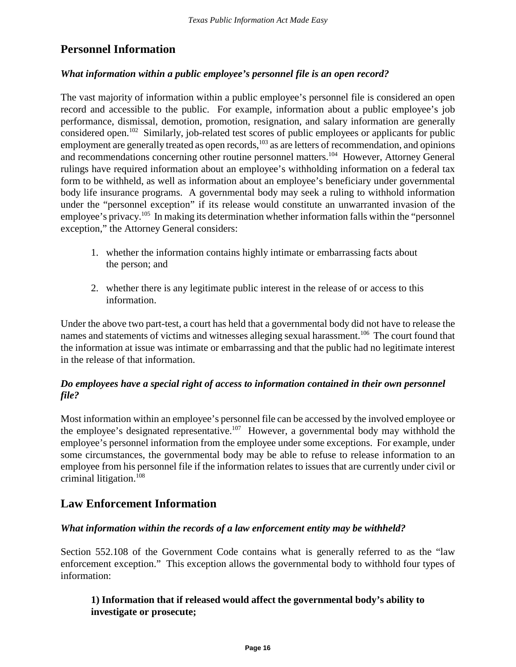## **Personnel Information**

#### *What information within a public employee's personnel file is an open record?*

The vast majority of information within a public employee's personnel file is considered an open record and accessible to the public. For example, information about a public employee's job performance, dismissal, demotion, promotion, resignation, and salary information are generally considered open.102 Similarly, job-related test scores of public employees or applicants for public employment are generally treated as open records,<sup>103</sup> as are letters of recommendation, and opinions and recommendations concerning other routine personnel matters.104 However, Attorney General rulings have required information about an employee's withholding information on a federal tax form to be withheld, as well as information about an employee's beneficiary under governmental body life insurance programs. A governmental body may seek a ruling to withhold information under the "personnel exception" if its release would constitute an unwarranted invasion of the employee's privacy.<sup>105</sup> In making its determination whether information falls within the "personnel" exception," the Attorney General considers:

- 1. whether the information contains highly intimate or embarrassing facts about the person; and
- 2. whether there is any legitimate public interest in the release of or access to this information.

Under the above two part-test, a court has held that a governmental body did not have to release the names and statements of victims and witnesses alleging sexual harassment.<sup>106</sup> The court found that the information at issue was intimate or embarrassing and that the public had no legitimate interest in the release of that information.

#### *Do employees have a special right of access to information contained in their own personnel file?*

Most information within an employee's personnel file can be accessed by the involved employee or the employee's designated representative.<sup>107</sup> However, a governmental body may withhold the employee's personnel information from the employee under some exceptions. For example, under some circumstances, the governmental body may be able to refuse to release information to an employee from his personnel file if the information relates to issues that are currently under civil or criminal litigation.108

## **Law Enforcement Information**

#### *What information within the records of a law enforcement entity may be withheld?*

Section 552.108 of the Government Code contains what is generally referred to as the "law enforcement exception." This exception allows the governmental body to withhold four types of information:

#### **1) Information that if released would affect the governmental body's ability to investigate or prosecute;**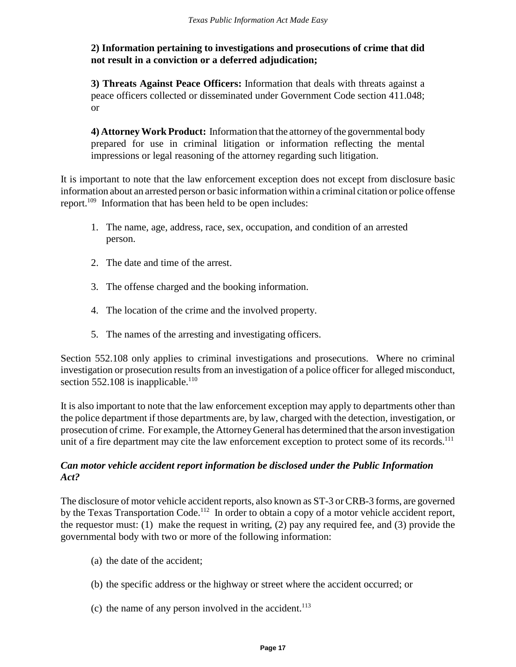#### **2) Information pertaining to investigations and prosecutions of crime that did not result in a conviction or a deferred adjudication;**

**3) Threats Against Peace Officers:** Information that deals with threats against a peace officers collected or disseminated under Government Code section 411.048; or

**4) Attorney Work Product:** Information that the attorney of the governmental body prepared for use in criminal litigation or information reflecting the mental impressions or legal reasoning of the attorney regarding such litigation.

It is important to note that the law enforcement exception does not except from disclosure basic information about an arrested person or basic information within a criminal citation or police offense report.<sup>109</sup> Information that has been held to be open includes:

- 1. The name, age, address, race, sex, occupation, and condition of an arrested person.
- 2. The date and time of the arrest.
- 3. The offense charged and the booking information.
- 4. The location of the crime and the involved property.
- 5. The names of the arresting and investigating officers.

Section 552.108 only applies to criminal investigations and prosecutions. Where no criminal investigation or prosecution results from an investigation of a police officer for alleged misconduct, section  $552.108$  is inapplicable.<sup>110</sup>

It is also important to note that the law enforcement exception may apply to departments other than the police department if those departments are, by law, charged with the detection, investigation, or prosecution of crime. For example, the Attorney General has determined that the arson investigation unit of a fire department may cite the law enforcement exception to protect some of its records.<sup>111</sup>

#### *Can motor vehicle accident report information be disclosed under the Public Information Act?*

The disclosure of motor vehicle accident reports, also known as ST-3 or CRB-3 forms, are governed by the Texas Transportation Code.<sup>112</sup> In order to obtain a copy of a motor vehicle accident report, the requestor must: (1) make the request in writing, (2) pay any required fee, and (3) provide the governmental body with two or more of the following information:

- (a) the date of the accident;
- (b) the specific address or the highway or street where the accident occurred; or
- (c) the name of any person involved in the accident.<sup>113</sup>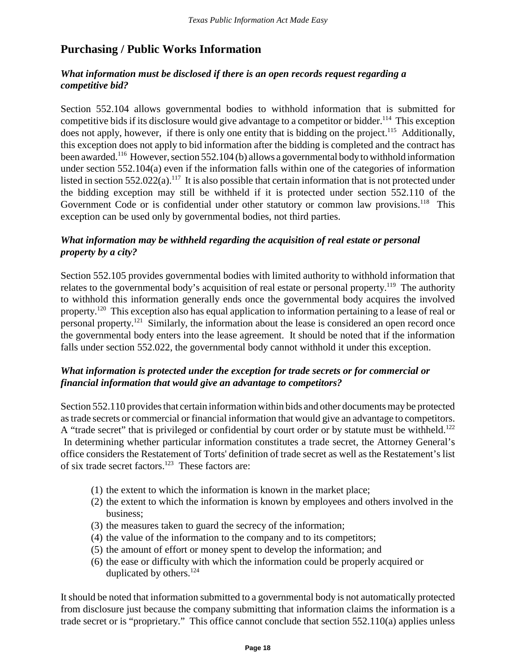## **Purchasing / Public Works Information**

#### *What information must be disclosed if there is an open records request regarding a competitive bid?*

Section 552.104 allows governmental bodies to withhold information that is submitted for competitive bids if its disclosure would give advantage to a competitor or bidder.<sup>114</sup> This exception does not apply, however, if there is only one entity that is bidding on the project.<sup>115</sup> Additionally, this exception does not apply to bid information after the bidding is completed and the contract has been awarded.<sup>116</sup> However, section 552.104 (b) allows a governmental body to withhold information under section 552.104(a) even if the information falls within one of the categories of information listed in section  $552.022(a)$ .<sup>117</sup> It is also possible that certain information that is not protected under the bidding exception may still be withheld if it is protected under section 552.110 of the Government Code or is confidential under other statutory or common law provisions.<sup>118</sup> This exception can be used only by governmental bodies, not third parties.

#### *What information may be withheld regarding the acquisition of real estate or personal property by a city?*

Section 552.105 provides governmental bodies with limited authority to withhold information that relates to the governmental body's acquisition of real estate or personal property.<sup>119</sup> The authority to withhold this information generally ends once the governmental body acquires the involved property.120 This exception also has equal application to information pertaining to a lease of real or personal property.121 Similarly, the information about the lease is considered an open record once the governmental body enters into the lease agreement. It should be noted that if the information falls under section 552.022, the governmental body cannot withhold it under this exception.

#### *What information is protected under the exception for trade secrets or for commercial or financial information that would give an advantage to competitors?*

Section 552.110 provides that certain information within bids and other documents may be protected as trade secrets or commercial or financial information that would give an advantage to competitors. A "trade secret" that is privileged or confidential by court order or by statute must be withheld.<sup>122</sup> In determining whether particular information constitutes a trade secret, the Attorney General's office considers the Restatement of Torts' definition of trade secret as well as the Restatement's list of six trade secret factors.123 These factors are:

- (1) the extent to which the information is known in the market place;
- (2) the extent to which the information is known by employees and others involved in the business;
- (3) the measures taken to guard the secrecy of the information;
- (4) the value of the information to the company and to its competitors;
- (5) the amount of effort or money spent to develop the information; and
- (6) the ease or difficulty with which the information could be properly acquired or duplicated by others. $^{124}$

It should be noted that information submitted to a governmental body is not automatically protected from disclosure just because the company submitting that information claims the information is a trade secret or is "proprietary." This office cannot conclude that section 552.110(a) applies unless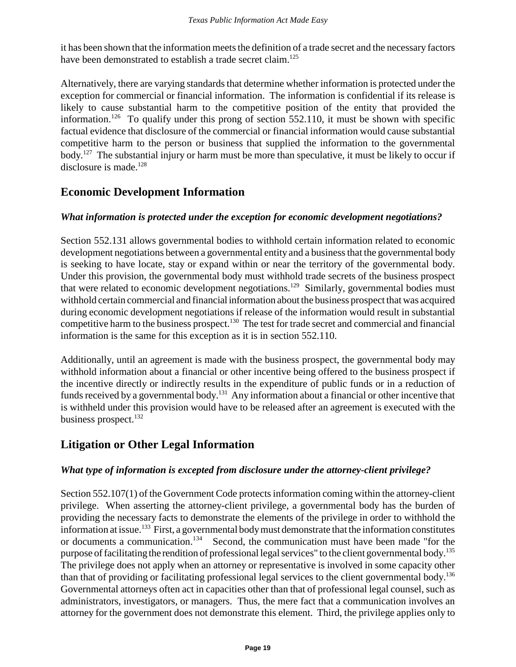it has been shown that the information meets the definition of a trade secret and the necessary factors have been demonstrated to establish a trade secret claim.<sup>125</sup>

Alternatively, there are varying standards that determine whether information is protected under the exception for commercial or financial information. The information is confidential if its release is likely to cause substantial harm to the competitive position of the entity that provided the information.<sup>126</sup> To qualify under this prong of section 552.110, it must be shown with specific factual evidence that disclosure of the commercial or financial information would cause substantial competitive harm to the person or business that supplied the information to the governmental body.<sup>127</sup> The substantial injury or harm must be more than speculative, it must be likely to occur if disclosure is made. $128$ 

## **Economic Development Information**

#### *What information is protected under the exception for economic development negotiations?*

Section 552.131 allows governmental bodies to withhold certain information related to economic development negotiations between a governmental entity and a business that the governmental body is seeking to have locate, stay or expand within or near the territory of the governmental body. Under this provision, the governmental body must withhold trade secrets of the business prospect that were related to economic development negotiations.<sup>129</sup> Similarly, governmental bodies must withhold certain commercial and financial information about the business prospect that was acquired during economic development negotiations if release of the information would result in substantial competitive harm to the business prospect.<sup>130</sup> The test for trade secret and commercial and financial information is the same for this exception as it is in section 552.110.

Additionally, until an agreement is made with the business prospect, the governmental body may withhold information about a financial or other incentive being offered to the business prospect if the incentive directly or indirectly results in the expenditure of public funds or in a reduction of funds received by a governmental body.<sup>131</sup> Any information about a financial or other incentive that is withheld under this provision would have to be released after an agreement is executed with the business prospect.<sup>132</sup>

# **Litigation or Other Legal Information**

#### *What type of information is excepted from disclosure under the attorney-client privilege?*

Section 552.107(1) of the Government Code protects information coming within the attorney-client privilege. When asserting the attorney-client privilege, a governmental body has the burden of providing the necessary facts to demonstrate the elements of the privilege in order to withhold the information at issue.133 First, a governmental body must demonstrate that the information constitutes or documents a communication.<sup>134</sup> Second, the communication must have been made "for the purpose of facilitating the rendition of professional legal services" to the client governmental body.135 The privilege does not apply when an attorney or representative is involved in some capacity other than that of providing or facilitating professional legal services to the client governmental body.136 Governmental attorneys often act in capacities other than that of professional legal counsel, such as administrators, investigators, or managers. Thus, the mere fact that a communication involves an attorney for the government does not demonstrate this element. Third, the privilege applies only to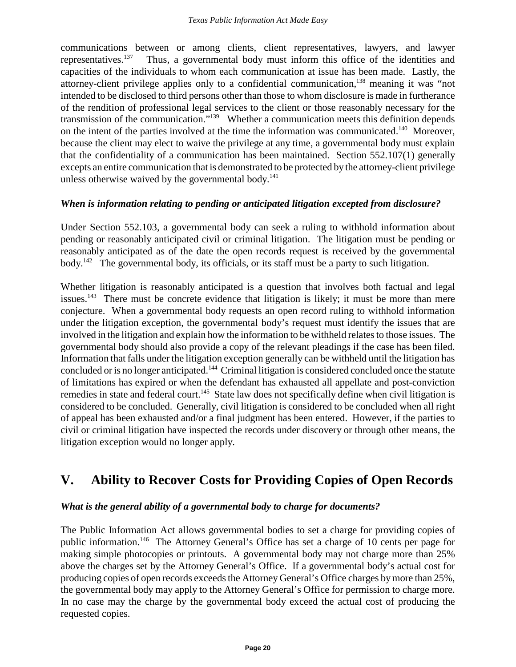communications between or among clients, client representatives, lawyers, and lawyer representatives.<sup>137</sup> Thus, a governmental body must inform this office of the identities and capacities of the individuals to whom each communication at issue has been made. Lastly, the attorney-client privilege applies only to a confidential communication,<sup>138</sup> meaning it was "not intended to be disclosed to third persons other than those to whom disclosure is made in furtherance of the rendition of professional legal services to the client or those reasonably necessary for the transmission of the communication."139 Whether a communication meets this definition depends on the intent of the parties involved at the time the information was communicated.<sup>140</sup> Moreover, because the client may elect to waive the privilege at any time, a governmental body must explain that the confidentiality of a communication has been maintained. Section 552.107(1) generally excepts an entire communication that is demonstrated to be protected by the attorney-client privilege unless otherwise waived by the governmental body. $141$ 

#### *When is information relating to pending or anticipated litigation excepted from disclosure?*

Under Section 552.103, a governmental body can seek a ruling to withhold information about pending or reasonably anticipated civil or criminal litigation. The litigation must be pending or reasonably anticipated as of the date the open records request is received by the governmental  $body<sup>142</sup>$  The governmental body, its officials, or its staff must be a party to such litigation.

Whether litigation is reasonably anticipated is a question that involves both factual and legal issues.<sup>143</sup> There must be concrete evidence that litigation is likely; it must be more than mere conjecture. When a governmental body requests an open record ruling to withhold information under the litigation exception, the governmental body's request must identify the issues that are involved in the litigation and explain how the information to be withheld relates to those issues. The governmental body should also provide a copy of the relevant pleadings if the case has been filed. Information that falls under the litigation exception generally can be withheld until the litigation has concluded or is no longer anticipated.144 Criminal litigation is considered concluded once the statute of limitations has expired or when the defendant has exhausted all appellate and post-conviction remedies in state and federal court.<sup>145</sup> State law does not specifically define when civil litigation is considered to be concluded. Generally, civil litigation is considered to be concluded when all right of appeal has been exhausted and/or a final judgment has been entered. However, if the parties to civil or criminal litigation have inspected the records under discovery or through other means, the litigation exception would no longer apply.

# **V. Ability to Recover Costs for Providing Copies of Open Records**

#### *What is the general ability of a governmental body to charge for documents?*

The Public Information Act allows governmental bodies to set a charge for providing copies of public information.146 The Attorney General's Office has set a charge of 10 cents per page for making simple photocopies or printouts. A governmental body may not charge more than 25% above the charges set by the Attorney General's Office. If a governmental body's actual cost for producing copies of open records exceeds the Attorney General's Office charges by more than 25%, the governmental body may apply to the Attorney General's Office for permission to charge more. In no case may the charge by the governmental body exceed the actual cost of producing the requested copies.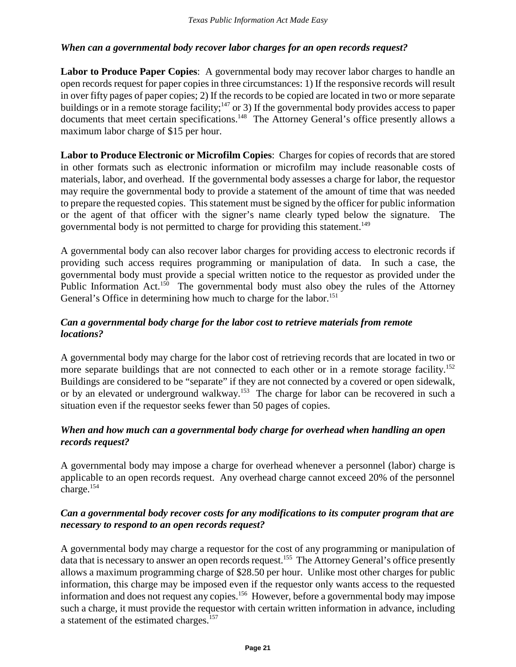#### *When can a governmental body recover labor charges for an open records request?*

**Labor to Produce Paper Copies**: A governmental body may recover labor charges to handle an open records request for paper copies in three circumstances: 1) If the responsive records will result in over fifty pages of paper copies; 2) If the records to be copied are located in two or more separate buildings or in a remote storage facility;<sup>147</sup> or 3) If the governmental body provides access to paper documents that meet certain specifications.<sup>148</sup> The Attorney General's office presently allows a maximum labor charge of \$15 per hour.

**Labor to Produce Electronic or Microfilm Copies**: Charges for copies of records that are stored in other formats such as electronic information or microfilm may include reasonable costs of materials, labor, and overhead. If the governmental body assesses a charge for labor, the requestor may require the governmental body to provide a statement of the amount of time that was needed to prepare the requested copies. This statement must be signed by the officer for public information or the agent of that officer with the signer's name clearly typed below the signature. The governmental body is not permitted to charge for providing this statement.<sup>149</sup>

A governmental body can also recover labor charges for providing access to electronic records if providing such access requires programming or manipulation of data. In such a case, the governmental body must provide a special written notice to the requestor as provided under the Public Information Act.<sup>150</sup> The governmental body must also obey the rules of the Attorney General's Office in determining how much to charge for the labor.<sup>151</sup>

#### *Can a governmental body charge for the labor cost to retrieve materials from remote locations?*

A governmental body may charge for the labor cost of retrieving records that are located in two or more separate buildings that are not connected to each other or in a remote storage facility.<sup>152</sup> Buildings are considered to be "separate" if they are not connected by a covered or open sidewalk, or by an elevated or underground walkway.<sup>153</sup> The charge for labor can be recovered in such a situation even if the requestor seeks fewer than 50 pages of copies.

#### *When and how much can a governmental body charge for overhead when handling an open records request?*

A governmental body may impose a charge for overhead whenever a personnel (labor) charge is applicable to an open records request. Any overhead charge cannot exceed 20% of the personnel charge.154

#### *Can a governmental body recover costs for any modifications to its computer program that are necessary to respond to an open records request?*

A governmental body may charge a requestor for the cost of any programming or manipulation of data that is necessary to answer an open records request.155 The Attorney General's office presently allows a maximum programming charge of \$28.50 per hour. Unlike most other charges for public information, this charge may be imposed even if the requestor only wants access to the requested information and does not request any copies.156 However, before a governmental body may impose such a charge, it must provide the requestor with certain written information in advance, including a statement of the estimated charges.157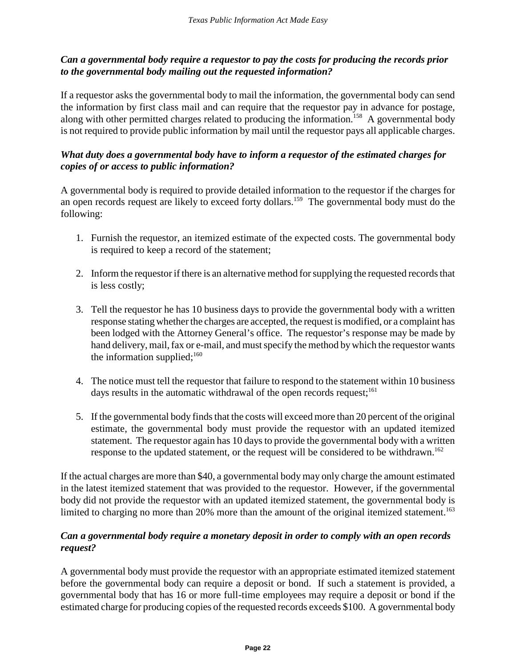#### *Can a governmental body require a requestor to pay the costs for producing the records prior to the governmental body mailing out the requested information?*

If a requestor asks the governmental body to mail the information, the governmental body can send the information by first class mail and can require that the requestor pay in advance for postage, along with other permitted charges related to producing the information.<sup>158</sup> A governmental body is not required to provide public information by mail until the requestor pays all applicable charges.

#### *What duty does a governmental body have to inform a requestor of the estimated charges for copies of or access to public information?*

A governmental body is required to provide detailed information to the requestor if the charges for an open records request are likely to exceed forty dollars.<sup>159</sup> The governmental body must do the following:

- 1. Furnish the requestor, an itemized estimate of the expected costs. The governmental body is required to keep a record of the statement;
- 2. Inform the requestor if there is an alternative method for supplying the requested records that is less costly;
- 3. Tell the requestor he has 10 business days to provide the governmental body with a written response stating whether the charges are accepted, the request is modified, or a complaint has been lodged with the Attorney General's office. The requestor's response may be made by hand delivery, mail, fax or e-mail, and must specify the method by which the requestor wants the information supplied; $160$
- 4. The notice must tell the requestor that failure to respond to the statement within 10 business days results in the automatic withdrawal of the open records request;<sup>161</sup>
- 5. If the governmental body finds that the costs will exceed more than 20 percent of the original estimate, the governmental body must provide the requestor with an updated itemized statement. The requestor again has 10 days to provide the governmental body with a written response to the updated statement, or the request will be considered to be withdrawn.<sup>162</sup>

If the actual charges are more than \$40, a governmental body may only charge the amount estimated in the latest itemized statement that was provided to the requestor. However, if the governmental body did not provide the requestor with an updated itemized statement, the governmental body is limited to charging no more than 20% more than the amount of the original itemized statement.<sup>163</sup>

#### *Can a governmental body require a monetary deposit in order to comply with an open records request?*

A governmental body must provide the requestor with an appropriate estimated itemized statement before the governmental body can require a deposit or bond. If such a statement is provided, a governmental body that has 16 or more full-time employees may require a deposit or bond if the estimated charge for producing copies of the requested records exceeds \$100. A governmental body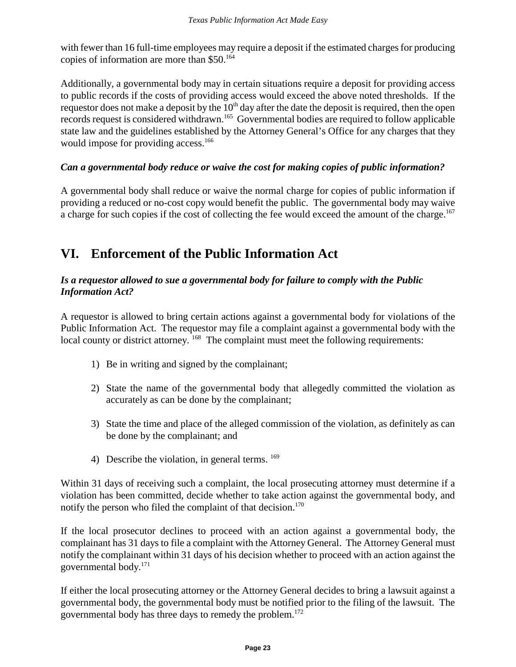with fewer than 16 full-time employees may require a deposit if the estimated charges for producing copies of information are more than \$50.164

Additionally, a governmental body may in certain situations require a deposit for providing access to public records if the costs of providing access would exceed the above noted thresholds. If the requestor does not make a deposit by the  $10<sup>th</sup>$  day after the date the deposit is required, then the open records request is considered withdrawn.165 Governmental bodies are required to follow applicable state law and the guidelines established by the Attorney General's Office for any charges that they would impose for providing access.<sup>166</sup>

#### *Can a governmental body reduce or waive the cost for making copies of public information?*

A governmental body shall reduce or waive the normal charge for copies of public information if providing a reduced or no-cost copy would benefit the public. The governmental body may waive a charge for such copies if the cost of collecting the fee would exceed the amount of the charge.<sup>167</sup>

# **VI. Enforcement of the Public Information Act**

#### *Is a requestor allowed to sue a governmental body for failure to comply with the Public Information Act?*

A requestor is allowed to bring certain actions against a governmental body for violations of the Public Information Act. The requestor may file a complaint against a governmental body with the local county or district attorney. <sup>168</sup> The complaint must meet the following requirements:

- 1) Be in writing and signed by the complainant;
- 2) State the name of the governmental body that allegedly committed the violation as accurately as can be done by the complainant;
- 3) State the time and place of the alleged commission of the violation, as definitely as can be done by the complainant; and
- 4) Describe the violation, in general terms.  $169$

Within 31 days of receiving such a complaint, the local prosecuting attorney must determine if a violation has been committed, decide whether to take action against the governmental body, and notify the person who filed the complaint of that decision. $170$ 

If the local prosecutor declines to proceed with an action against a governmental body, the complainant has 31 days to file a complaint with the Attorney General. The Attorney General must notify the complainant within 31 days of his decision whether to proceed with an action against the governmental body.171

If either the local prosecuting attorney or the Attorney General decides to bring a lawsuit against a governmental body, the governmental body must be notified prior to the filing of the lawsuit. The governmental body has three days to remedy the problem.172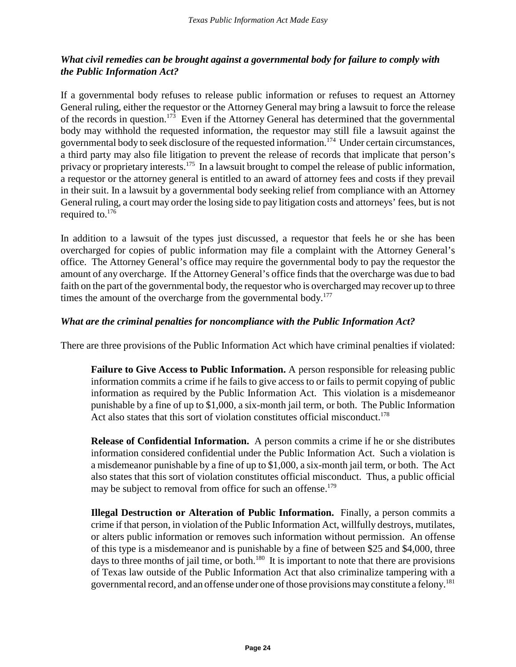#### *What civil remedies can be brought against a governmental body for failure to comply with the Public Information Act?*

If a governmental body refuses to release public information or refuses to request an Attorney General ruling, either the requestor or the Attorney General may bring a lawsuit to force the release of the records in question.173 Even if the Attorney General has determined that the governmental body may withhold the requested information, the requestor may still file a lawsuit against the governmental body to seek disclosure of the requested information.174 Under certain circumstances, a third party may also file litigation to prevent the release of records that implicate that person's privacy or proprietary interests.<sup>175</sup> In a lawsuit brought to compel the release of public information, a requestor or the attorney general is entitled to an award of attorney fees and costs if they prevail in their suit. In a lawsuit by a governmental body seeking relief from compliance with an Attorney General ruling, a court may order the losing side to pay litigation costs and attorneys' fees, but is not required to.176

In addition to a lawsuit of the types just discussed, a requestor that feels he or she has been overcharged for copies of public information may file a complaint with the Attorney General's office. The Attorney General's office may require the governmental body to pay the requestor the amount of any overcharge. If the Attorney General's office finds that the overcharge was due to bad faith on the part of the governmental body, the requestor who is overcharged may recover up to three times the amount of the overcharge from the governmental body.<sup>177</sup>

#### *What are the criminal penalties for noncompliance with the Public Information Act?*

There are three provisions of the Public Information Act which have criminal penalties if violated:

**Failure to Give Access to Public Information.** A person responsible for releasing public information commits a crime if he fails to give access to or fails to permit copying of public information as required by the Public Information Act. This violation is a misdemeanor punishable by a fine of up to \$1,000, a six-month jail term, or both. The Public Information Act also states that this sort of violation constitutes official misconduct.<sup>178</sup>

**Release of Confidential Information.** A person commits a crime if he or she distributes information considered confidential under the Public Information Act. Such a violation is a misdemeanor punishable by a fine of up to \$1,000, a six-month jail term, or both. The Act also states that this sort of violation constitutes official misconduct. Thus, a public official may be subject to removal from office for such an offense.<sup>179</sup>

**Illegal Destruction or Alteration of Public Information.** Finally, a person commits a crime if that person, in violation of the Public Information Act, willfully destroys, mutilates, or alters public information or removes such information without permission. An offense of this type is a misdemeanor and is punishable by a fine of between \$25 and \$4,000, three days to three months of jail time, or both.<sup>180</sup> It is important to note that there are provisions of Texas law outside of the Public Information Act that also criminalize tampering with a governmental record, and an offense under one of those provisions may constitute a felony.<sup>181</sup>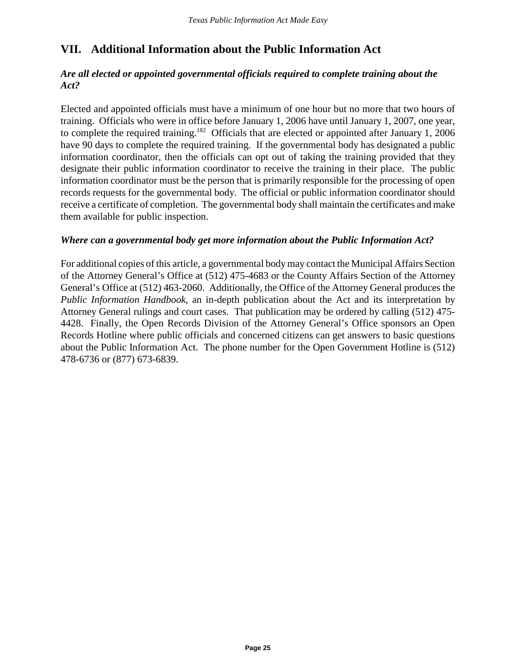# **VII. Additional Information about the Public Information Act**

#### *Are all elected or appointed governmental officials required to complete training about the Act?*

Elected and appointed officials must have a minimum of one hour but no more that two hours of training. Officials who were in office before January 1, 2006 have until January 1, 2007, one year, to complete the required training.<sup>182</sup> Officials that are elected or appointed after January 1, 2006 have 90 days to complete the required training. If the governmental body has designated a public information coordinator, then the officials can opt out of taking the training provided that they designate their public information coordinator to receive the training in their place. The public information coordinator must be the person that is primarily responsible for the processing of open records requests for the governmental body. The official or public information coordinator should receive a certificate of completion. The governmental body shall maintain the certificates and make them available for public inspection.

#### *Where can a governmental body get more information about the Public Information Act?*

For additional copies of this article, a governmental body may contact the Municipal Affairs Section of the Attorney General's Office at (512) 475-4683 or the County Affairs Section of the Attorney General's Office at (512) 463-2060. Additionally, the Office of the Attorney General produces the *Public Information Handbook*, an in-depth publication about the Act and its interpretation by Attorney General rulings and court cases. That publication may be ordered by calling (512) 475- 4428. Finally, the Open Records Division of the Attorney General's Office sponsors an Open Records Hotline where public officials and concerned citizens can get answers to basic questions about the Public Information Act. The phone number for the Open Government Hotline is (512) 478-6736 or (877) 673-6839.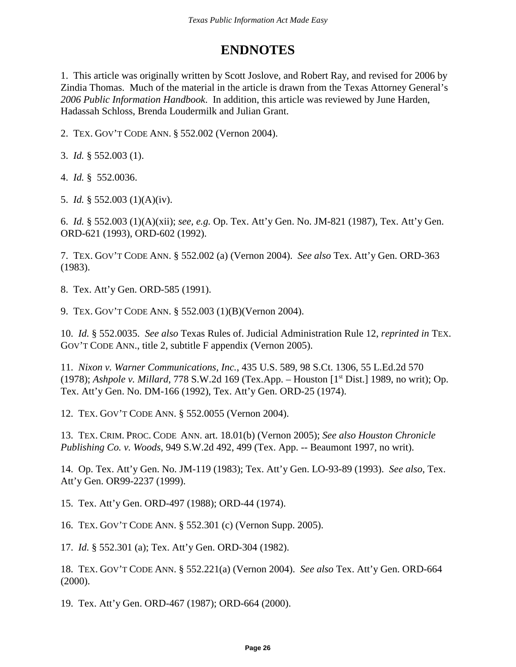# **ENDNOTES**

1. This article was originally written by Scott Joslove, and Robert Ray, and revised for 2006 by Zindia Thomas. Much of the material in the article is drawn from the Texas Attorney General's *2006 Public Information Handbook*. In addition, this article was reviewed by June Harden, Hadassah Schloss, Brenda Loudermilk and Julian Grant.

2. TEX. GOV'T CODE ANN. § 552.002 (Vernon 2004).

3. *Id.* § 552.003 (1).

4. *Id.* § 552.0036.

5. *Id.* § 552.003 (1)(A)(iv).

6. *Id.* § 552.003 (1)(A)(xii); *see, e.g.* Op. Tex. Att'y Gen. No. JM-821 (1987), Tex. Att'y Gen. ORD-621 (1993), ORD-602 (1992).

7. TEX. GOV'T CODE ANN. § 552.002 (a) (Vernon 2004). *See also* Tex. Att'y Gen. ORD-363 (1983).

8. Tex. Att'y Gen. ORD-585 (1991).

9. TEX. GOV'T CODE ANN. § 552.003 (1)(B)(Vernon 2004).

10. *Id.* § 552.0035. *See also* Texas Rules of. Judicial Administration Rule 12, *reprinted in* TEX. GOV'T CODE ANN., title 2, subtitle F appendix (Vernon 2005).

11. *Nixon v. Warner Communications, Inc.*, 435 U.S. 589, 98 S.Ct. 1306, 55 L.Ed.2d 570 (1978); *Ashpole v. Millard*, 778 S.W.2d 169 (Tex.App. – Houston [1st Dist.] 1989, no writ); Op. Tex. Att'y Gen. No. DM-166 (1992), Tex. Att'y Gen. ORD-25 (1974).

12. TEX. GOV'T CODE ANN. § 552.0055 (Vernon 2004).

13. TEX. CRIM. PROC. CODE ANN. art. 18.01(b) (Vernon 2005); *See also Houston Chronicle Publishing Co. v. Woods*, 949 S.W.2d 492, 499 (Tex. App. -- Beaumont 1997, no writ).

14. Op. Tex. Att'y Gen. No. JM-119 (1983); Tex. Att'y Gen. LO-93-89 (1993). *See also*, Tex. Att'y Gen. OR99-2237 (1999).

15. Tex. Att'y Gen. ORD-497 (1988); ORD-44 (1974).

16. TEX. GOV'T CODE ANN. § 552.301 (c) (Vernon Supp. 2005).

17. *Id.* § 552.301 (a); Tex. Att'y Gen. ORD-304 (1982).

18. TEX. GOV'T CODE ANN. § 552.221(a) (Vernon 2004). *See also* Tex. Att'y Gen. ORD-664 (2000).

19. Tex. Att'y Gen. ORD-467 (1987); ORD-664 (2000).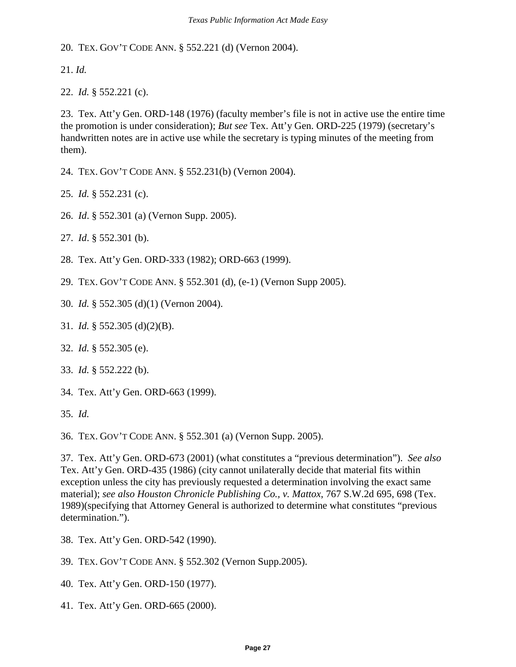20. TEX. GOV'T CODE ANN. § 552.221 (d) (Vernon 2004).

21. *Id.*

22. *Id.* § 552.221 (c).

23. Tex. Att'y Gen. ORD-148 (1976) (faculty member's file is not in active use the entire time the promotion is under consideration); *But see* Tex. Att'y Gen. ORD-225 (1979) (secretary's handwritten notes are in active use while the secretary is typing minutes of the meeting from them).

24. TEX. GOV'T CODE ANN. § 552.231(b) (Vernon 2004).

25. *Id.* § 552.231 (c).

- 26. *Id*. § 552.301 (a) (Vernon Supp. 2005).
- 27. *Id*. § 552.301 (b).
- 28. Tex. Att'y Gen. ORD-333 (1982); ORD-663 (1999).
- 29. TEX. GOV'T CODE ANN. § 552.301 (d), (e-1) (Vernon Supp 2005).
- 30. *Id.* § 552.305 (d)(1) (Vernon 2004).
- 31. *Id.* § 552.305 (d)(2)(B).
- 32. *Id.* § 552.305 (e).
- 33. *Id.* § 552.222 (b).
- 34. Tex. Att'y Gen. ORD-663 (1999).
- 35. *Id.*

36. TEX. GOV'T CODE ANN. § 552.301 (a) (Vernon Supp. 2005).

37. Tex. Att'y Gen. ORD-673 (2001) (what constitutes a "previous determination"). *See also* Tex. Att'y Gen. ORD-435 (1986) (city cannot unilaterally decide that material fits within exception unless the city has previously requested a determination involving the exact same material); *see also Houston Chronicle Publishing Co., v. Mattox*, 767 S.W.2d 695, 698 (Tex. 1989)(specifying that Attorney General is authorized to determine what constitutes "previous determination.").

- 38. Tex. Att'y Gen. ORD-542 (1990).
- 39. TEX. GOV'T CODE ANN. § 552.302 (Vernon Supp.2005).
- 40. Tex. Att'y Gen. ORD-150 (1977).
- 41. Tex. Att'y Gen. ORD-665 (2000).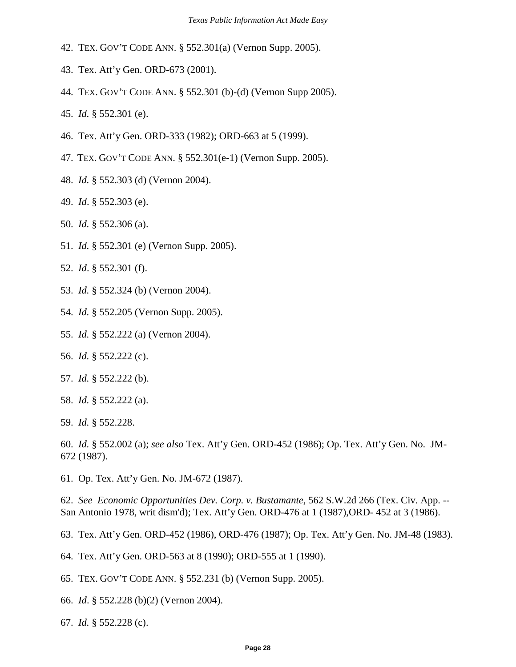- 42. TEX. GOV'T CODE ANN. § 552.301(a) (Vernon Supp. 2005).
- 43. Tex. Att'y Gen. ORD-673 (2001).
- 44. TEX. GOV'T CODE ANN. § 552.301 (b)-(d) (Vernon Supp 2005).
- 45. *Id.* § 552.301 (e).
- 46. Tex. Att'y Gen. ORD-333 (1982); ORD-663 at 5 (1999).
- 47. TEX. GOV'T CODE ANN. § 552.301(e-1) (Vernon Supp. 2005).
- 48. *Id.* § 552.303 (d) (Vernon 2004).
- 49. *Id*. § 552.303 (e).
- 50. *Id.* § 552.306 (a).
- 51. *Id.* § 552.301 (e) (Vernon Supp. 2005).
- 52. *Id*. § 552.301 (f).
- 53. *Id.* § 552.324 (b) (Vernon 2004).
- 54. *Id.* § 552.205 (Vernon Supp. 2005).
- 55. *Id.* § 552.222 (a) (Vernon 2004).
- 56. *Id.* § 552.222 (c).
- 57. *Id.* § 552.222 (b).
- 58. *Id.* § 552.222 (a).
- 59. *Id.* § 552.228.

60. *Id.* § 552.002 (a); *see also* Tex. Att'y Gen. ORD-452 (1986); Op. Tex. Att'y Gen. No. JM-672 (1987).

61. Op. Tex. Att'y Gen. No. JM-672 (1987).

62. *See Economic Opportunities Dev. Corp. v. Bustamante*, 562 S.W.2d 266 (Tex. Civ. App. -- San Antonio 1978, writ dism'd); Tex. Att'y Gen. ORD-476 at 1 (1987),ORD- 452 at 3 (1986).

63. Tex. Att'y Gen. ORD-452 (1986), ORD-476 (1987); Op. Tex. Att'y Gen. No. JM-48 (1983).

64. Tex. Att'y Gen. ORD-563 at 8 (1990); ORD-555 at 1 (1990).

- 65. TEX. GOV'T CODE ANN. § 552.231 (b) (Vernon Supp. 2005).
- 66. *Id*. § 552.228 (b)(2) (Vernon 2004).
- 67. *Id.* § 552.228 (c).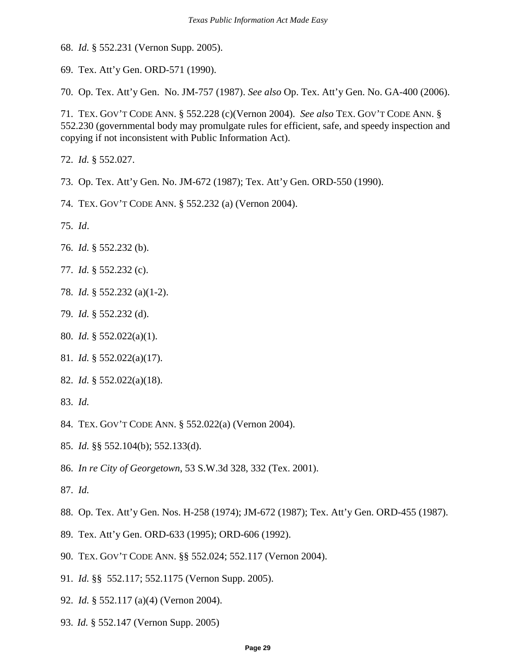68. *Id.* § 552.231 (Vernon Supp. 2005).

69. Tex. Att'y Gen. ORD-571 (1990).

70. Op. Tex. Att'y Gen. No. JM-757 (1987). *See also* Op. Tex. Att'y Gen. No. GA-400 (2006).

71. TEX. GOV'T CODE ANN. § 552.228 (c)(Vernon 2004). *See also* TEX. GOV'T CODE ANN. § 552.230 (governmental body may promulgate rules for efficient, safe, and speedy inspection and copying if not inconsistent with Public Information Act).

72. *Id.* § 552.027.

73. Op. Tex. Att'y Gen. No. JM-672 (1987); Tex. Att'y Gen. ORD-550 (1990).

74. TEX. GOV'T CODE ANN. § 552.232 (a) (Vernon 2004).

75. *Id*.

- 76. *Id.* § 552.232 (b).
- 77. *Id.* § 552.232 (c).
- 78. *Id.* § 552.232 (a)(1-2).
- 79. *Id.* § 552.232 (d).
- 80. *Id.* § 552.022(a)(1).
- 81. *Id.* § 552.022(a)(17).
- 82. *Id.* § 552.022(a)(18).
- 83. *Id.*
- 84. TEX. GOV'T CODE ANN. § 552.022(a) (Vernon 2004).
- 85. *Id.* §§ 552.104(b); 552.133(d).
- 86. *In re City of Georgetown*, 53 S.W.3d 328, 332 (Tex. 2001).
- 87. *Id.*
- 88. Op. Tex. Att'y Gen. Nos. H-258 (1974); JM-672 (1987); Tex. Att'y Gen. ORD-455 (1987).
- 89. Tex. Att'y Gen. ORD-633 (1995); ORD-606 (1992).
- 90. TEX. GOV'T CODE ANN. §§ 552.024; 552.117 (Vernon 2004).
- 91. *Id.* §§ 552.117; 552.1175 (Vernon Supp. 2005).
- 92. *Id.* § 552.117 (a)(4) (Vernon 2004).
- 93. *Id.* § 552.147 (Vernon Supp. 2005)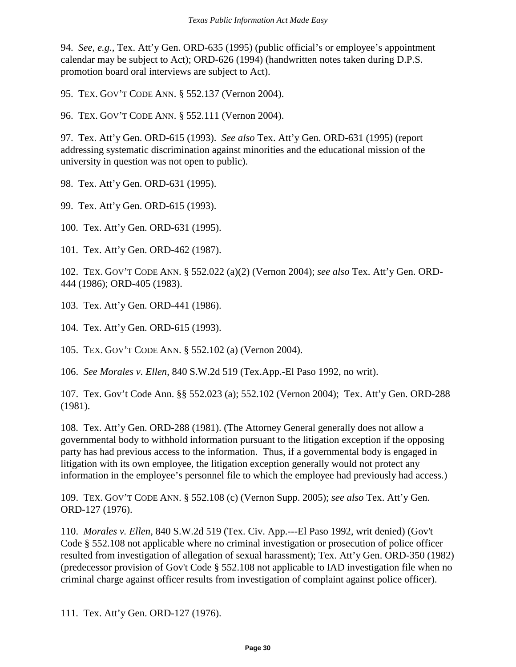94. *See, e.g.,* Tex. Att'y Gen. ORD-635 (1995) (public official's or employee's appointment calendar may be subject to Act); ORD-626 (1994) (handwritten notes taken during D.P.S. promotion board oral interviews are subject to Act).

95. TEX. GOV'T CODE ANN. § 552.137 (Vernon 2004).

96. TEX. GOV'T CODE ANN. § 552.111 (Vernon 2004).

97. Tex. Att'y Gen. ORD-615 (1993). *See also* Tex. Att'y Gen. ORD-631 (1995) (report addressing systematic discrimination against minorities and the educational mission of the university in question was not open to public).

98. Tex. Att'y Gen. ORD-631 (1995).

99. Tex. Att'y Gen. ORD-615 (1993).

100. Tex. Att'y Gen. ORD-631 (1995).

101. Tex. Att'y Gen. ORD-462 (1987).

102. TEX. GOV'T CODE ANN. § 552.022 (a)(2) (Vernon 2004); *see also* Tex. Att'y Gen. ORD-444 (1986); ORD-405 (1983).

103. Tex. Att'y Gen. ORD-441 (1986).

104. Tex. Att'y Gen. ORD-615 (1993).

105. TEX. GOV'T CODE ANN. § 552.102 (a) (Vernon 2004).

106. *See Morales v. Ellen*, 840 S.W.2d 519 (Tex.App.-El Paso 1992, no writ).

107. Tex. Gov't Code Ann. §§ 552.023 (a); 552.102 (Vernon 2004); Tex. Att'y Gen. ORD-288 (1981).

108. Tex. Att'y Gen. ORD-288 (1981). (The Attorney General generally does not allow a governmental body to withhold information pursuant to the litigation exception if the opposing party has had previous access to the information. Thus, if a governmental body is engaged in litigation with its own employee, the litigation exception generally would not protect any information in the employee's personnel file to which the employee had previously had access.)

109. TEX. GOV'T CODE ANN. § 552.108 (c) (Vernon Supp. 2005); *see also* Tex. Att'y Gen. ORD-127 (1976).

110. *Morales v. Ellen*, 840 S.W.2d 519 (Tex. Civ. App.---El Paso 1992, writ denied) (Gov't Code § 552.108 not applicable where no criminal investigation or prosecution of police officer resulted from investigation of allegation of sexual harassment); Tex. Att'y Gen. ORD-350 (1982) (predecessor provision of Gov't Code § 552.108 not applicable to IAD investigation file when no criminal charge against officer results from investigation of complaint against police officer).

111. Tex. Att'y Gen. ORD-127 (1976).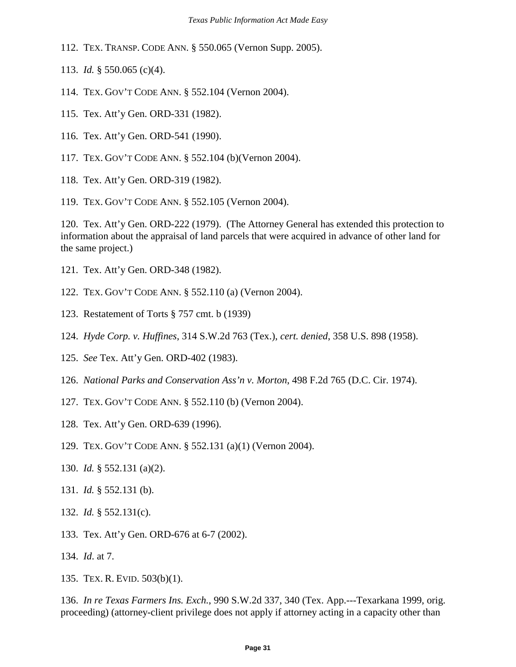112. TEX. TRANSP. CODE ANN. § 550.065 (Vernon Supp. 2005).

113. *Id.* § 550.065 (c)(4).

114. TEX. GOV'T CODE ANN. § 552.104 (Vernon 2004).

115. Tex. Att'y Gen. ORD-331 (1982).

- 116. Tex. Att'y Gen. ORD-541 (1990).
- 117. TEX. GOV'T CODE ANN. § 552.104 (b)(Vernon 2004).
- 118. Tex. Att'y Gen. ORD-319 (1982).
- 119. TEX. GOV'T CODE ANN. § 552.105 (Vernon 2004).

120. Tex. Att'y Gen. ORD-222 (1979). (The Attorney General has extended this protection to information about the appraisal of land parcels that were acquired in advance of other land for the same project.)

- 121. Tex. Att'y Gen. ORD-348 (1982).
- 122. TEX. GOV'T CODE ANN. § 552.110 (a) (Vernon 2004).
- 123. Restatement of Torts § 757 cmt. b (1939)
- 124. *Hyde Corp. v. Huffines*, 314 S.W.2d 763 (Tex.), *cert. denied*, 358 U.S. 898 (1958).
- 125. *See* Tex. Att'y Gen. ORD-402 (1983).
- 126. *National Parks and Conservation Ass'n v. Morton*, 498 F.2d 765 (D.C. Cir. 1974).
- 127. TEX. GOV'T CODE ANN. § 552.110 (b) (Vernon 2004).
- 128. Tex. Att'y Gen. ORD-639 (1996).
- 129. TEX. GOV'T CODE ANN. § 552.131 (a)(1) (Vernon 2004).
- 130. *Id.* § 552.131 (a)(2).
- 131. *Id.* § 552.131 (b).
- 132. *Id.* § 552.131(c).
- 133. Tex. Att'y Gen. ORD-676 at 6-7 (2002).
- 134. *Id*. at 7.
- 135. TEX. R. EVID. 503(b)(1).

136. *In re Texas Farmers Ins. Exch.*, 990 S.W.2d 337, 340 (Tex. App.---Texarkana 1999, orig. proceeding) (attorney-client privilege does not apply if attorney acting in a capacity other than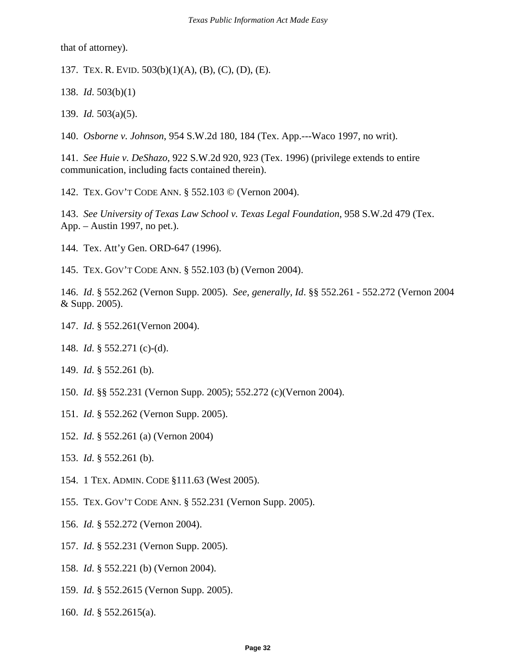that of attorney).

- 137. TEX. R. EVID. 503(b)(1)(A), (B), (C), (D), (E).
- 138. *Id*. 503(b)(1)
- 139. *Id.* 503(a)(5).
- 140. *Osborne v. Johnson*, 954 S.W.2d 180, 184 (Tex. App.---Waco 1997, no writ).

141. *See Huie v. DeShazo*, 922 S.W.2d 920, 923 (Tex. 1996) (privilege extends to entire communication, including facts contained therein).

142. TEX. GOV'T CODE ANN. § 552.103 © (Vernon 2004).

143. *See University of Texas Law School v. Texas Legal Foundation*, 958 S.W.2d 479 (Tex. App. – Austin 1997, no pet.).

144. Tex. Att'y Gen. ORD-647 (1996).

145. TEX. GOV'T CODE ANN. § 552.103 (b) (Vernon 2004).

146. *Id*. § 552.262 (Vernon Supp. 2005). *See, generally, Id*. §§ 552.261 - 552.272 (Vernon 2004 & Supp. 2005).

- 147. *Id*. § 552.261(Vernon 2004).
- 148. *Id*. § 552.271 (c)-(d).
- 149. *Id*. § 552.261 (b).
- 150. *Id*. §§ 552.231 (Vernon Supp. 2005); 552.272 (c)(Vernon 2004).
- 151. *Id*. § 552.262 (Vernon Supp. 2005).
- 152. *Id*. § 552.261 (a) (Vernon 2004)
- 153. *Id*. § 552.261 (b).
- 154. 1 TEX. ADMIN. CODE §111.63 (West 2005).
- 155. TEX. GOV'T CODE ANN. § 552.231 (Vernon Supp. 2005).
- 156. *Id.* § 552.272 (Vernon 2004).
- 157. *Id*. § 552.231 (Vernon Supp. 2005).
- 158. *Id*. § 552.221 (b) (Vernon 2004).
- 159. *Id*. § 552.2615 (Vernon Supp. 2005).
- 160. *Id*. § 552.2615(a).